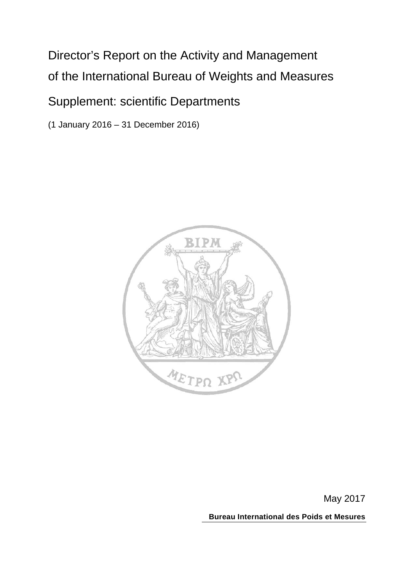# Director's Report on the Activity and Management of the International Bureau of Weights and Measures

# Supplement: scientific Departments

(1 January 2016 – 31 December 2016)



May 2017

**Bureau International des Poids et Mesures**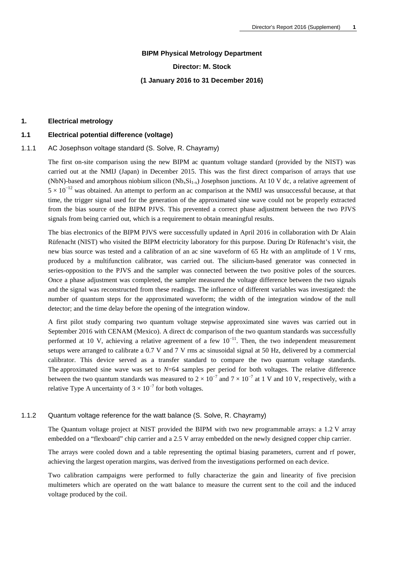#### **BIPM Physical Metrology Department**

#### **Director: M. Stock**

#### **(1 January 2016 to 31 December 2016)**

#### **1. Electrical metrology**

#### **1.1 Electrical potential difference (voltage)**

#### 1.1.1 AC Josephson voltage standard (S. Solve, R. Chayramy)

The first on-site comparison using the new BIPM ac quantum voltage standard (provided by the NIST) was carried out at the NMIJ (Japan) in December 2015. This was the first direct comparison of arrays that use (NbN)-based and amorphous niobium silicon (Nb<sub>x</sub>Si<sub>1-x</sub>) Josephson junctions. At 10 V dc, a relative agreement of  $5 \times 10^{-12}$  was obtained. An attempt to perform an ac comparison at the NMIJ was unsuccessful because, at that time, the trigger signal used for the generation of the approximated sine wave could not be properly extracted from the bias source of the BIPM PJVS. This prevented a correct phase adjustment between the two PJVS signals from being carried out, which is a requirement to obtain meaningful results.

The bias electronics of the BIPM PJVS were successfully updated in April 2016 in collaboration with Dr Alain Rüfenacht (NIST) who visited the BIPM electricity laboratory for this purpose. During Dr Rüfenacht's visit, the new bias source was tested and a calibration of an ac sine waveform of 65 Hz with an amplitude of 1 V rms, produced by a multifunction calibrator, was carried out. The silicium-based generator was connected in series-opposition to the PJVS and the sampler was connected between the two positive poles of the sources. Once a phase adjustment was completed, the sampler measured the voltage difference between the two signals and the signal was reconstructed from these readings. The influence of different variables was investigated: the number of quantum steps for the approximated waveform; the width of the integration window of the null detector; and the time delay before the opening of the integration window.

A first pilot study comparing two quantum voltage stepwise approximated sine waves was carried out in September 2016 with CENAM (Mexico). A direct dc comparison of the two quantum standards was successfully performed at 10 V, achieving a relative agreement of a few  $10^{-11}$ . Then, the two independent measurement setups were arranged to calibrate a 0.7 V and 7 V rms ac sinusoidal signal at 50 Hz, delivered by a commercial calibrator. This device served as a transfer standard to compare the two quantum voltage standards. The approximated sine wave was set to *N*=64 samples per period for both voltages. The relative difference between the two quantum standards was measured to  $2 \times 10^{-7}$  and  $7 \times 10^{-7}$  at 1 V and 10 V, respectively, with a relative Type A uncertainty of  $3 \times 10^{-7}$  for both voltages.

#### 1.1.2 Quantum voltage reference for the watt balance (S. Solve, R. Chayramy)

The Quantum voltage project at NIST provided the BIPM with two new programmable arrays: a 1.2 V array embedded on a "flexboard" chip carrier and a 2.5 V array embedded on the newly designed copper chip carrier.

The arrays were cooled down and a table representing the optimal biasing parameters, current and rf power, achieving the largest operation margins, was derived from the investigations performed on each device.

Two calibration campaigns were performed to fully characterize the gain and linearity of five precision multimeters which are operated on the watt balance to measure the current sent to the coil and the induced voltage produced by the coil.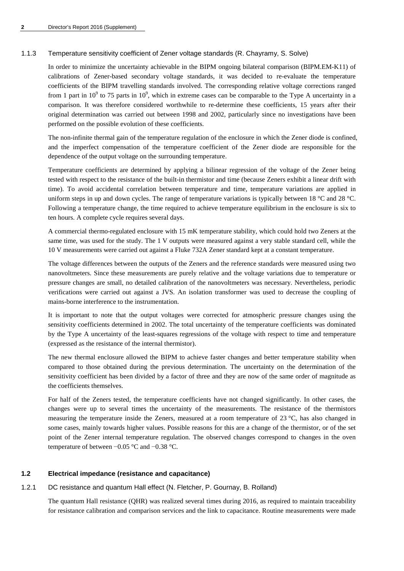#### 1.1.3 Temperature sensitivity coefficient of Zener voltage standards (R. Chayramy, S. Solve)

In order to minimize the uncertainty achievable in the BIPM ongoing bilateral comparison (BIPM.EM-K11) of calibrations of Zener-based secondary voltage standards, it was decided to re-evaluate the temperature coefficients of the BIPM travelling standards involved. The corresponding relative voltage corrections ranged from 1 part in  $10^9$  to 75 parts in  $10^9$ , which in extreme cases can be comparable to the Type A uncertainty in a comparison. It was therefore considered worthwhile to re-determine these coefficients, 15 years after their original determination was carried out between 1998 and 2002, particularly since no investigations have been performed on the possible evolution of these coefficients.

The non-infinite thermal gain of the temperature regulation of the enclosure in which the Zener diode is confined, and the imperfect compensation of the temperature coefficient of the Zener diode are responsible for the dependence of the output voltage on the surrounding temperature.

Temperature coefficients are determined by applying a bilinear regression of the voltage of the Zener being tested with respect to the resistance of the built-in thermistor and time (because Zeners exhibit a linear drift with time). To avoid accidental correlation between temperature and time, temperature variations are applied in uniform steps in up and down cycles. The range of temperature variations is typically between 18 °C and 28 °C. Following a temperature change, the time required to achieve temperature equilibrium in the enclosure is six to ten hours. A complete cycle requires several days.

A commercial thermo-regulated enclosure with 15 mK temperature stability, which could hold two Zeners at the same time, was used for the study. The 1 V outputs were measured against a very stable standard cell, while the 10 V measurements were carried out against a Fluke 732A Zener standard kept at a constant temperature.

The voltage differences between the outputs of the Zeners and the reference standards were measured using two nanovoltmeters. Since these measurements are purely relative and the voltage variations due to temperature or pressure changes are small, no detailed calibration of the nanovoltmeters was necessary. Nevertheless, periodic verifications were carried out against a JVS. An isolation transformer was used to decrease the coupling of mains-borne interference to the instrumentation.

It is important to note that the output voltages were corrected for atmospheric pressure changes using the sensitivity coefficients determined in 2002. The total uncertainty of the temperature coefficients was dominated by the Type A uncertainty of the least-squares regressions of the voltage with respect to time and temperature (expressed as the resistance of the internal thermistor).

The new thermal enclosure allowed the BIPM to achieve faster changes and better temperature stability when compared to those obtained during the previous determination. The uncertainty on the determination of the sensitivity coefficient has been divided by a factor of three and they are now of the same order of magnitude as the coefficients themselves.

For half of the Zeners tested, the temperature coefficients have not changed significantly. In other cases, the changes were up to several times the uncertainty of the measurements. The resistance of the thermistors measuring the temperature inside the Zeners, measured at a room temperature of 23 °C, has also changed in some cases, mainly towards higher values. Possible reasons for this are a change of the thermistor, or of the set point of the Zener internal temperature regulation. The observed changes correspond to changes in the oven temperature of between −0.05 °C and −0.38 °C.

#### **1.2 Electrical impedance (resistance and capacitance)**

# 1.2.1 DC resistance and quantum Hall effect (N. Fletcher, P. Gournay, B. Rolland)

The quantum Hall resistance (QHR) was realized several times during 2016, as required to maintain traceability for resistance calibration and comparison services and the link to capacitance. Routine measurements were made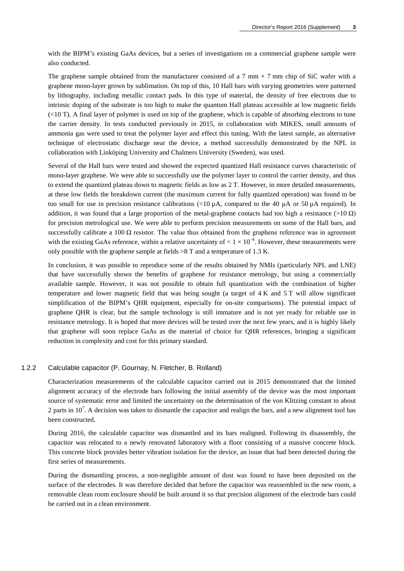with the BIPM's existing GaAs devices, but a series of investigations on a commercial graphene sample were also conducted.

The graphene sample obtained from the manufacturer consisted of a 7 mm  $\times$  7 mm chip of SiC wafer with a graphene mono-layer grown by sublimation. On top of this, 10 Hall bars with varying geometries were patterned by lithography, including metallic contact pads. In this type of material, the density of free electrons due to intrinsic doping of the substrate is too high to make the quantum Hall plateau accessible at low magnetic fields  $\ll$  10 T). A final layer of polymer is used on top of the graphene, which is capable of absorbing electrons to tune the carrier density. In tests conducted previously in 2015, in collaboration with MIKES, small amounts of ammonia gas were used to treat the polymer layer and effect this tuning. With the latest sample, an alternative technique of electrostatic discharge near the device, a method successfully demonstrated by the NPL in collaboration with Linköping University and Chalmers University (Sweden), was used.

Several of the Hall bars were tested and showed the expected quantized Hall resistance curves characteristic of mono-layer graphene. We were able to successfully use the polymer layer to control the carrier density, and thus to extend the quantized plateau down to magnetic fields as low as 2 T. However, in more detailed measurements, at these low fields the breakdown current (the maximum current for fully quantized operation) was found to be too small for use in precision resistance calibrations  $\ll 10 \mu$ A, compared to the 40  $\mu$ A or 50  $\mu$ A required). In addition, it was found that a large proportion of the metal-graphene contacts had too high a resistance (>10  $\Omega$ ) for precision metrological use. We were able to perform precision measurements on some of the Hall bars, and successfully calibrate a 100  $\Omega$  resistor. The value thus obtained from the graphene reference was in agreement with the existing GaAs reference, within a relative uncertainty of  $\lt 1 \times 10^{-8}$ . However, these measurements were only possible with the graphene sample at fields  $>8$  T and a temperature of 1.3 K.

In conclusion, it was possible to reproduce some of the results obtained by NMIs (particularly NPL and LNE) that have successfully shown the benefits of graphene for resistance metrology, but using a commercially available sample. However, it was not possible to obtain full quantization with the combination of higher temperature and lower magnetic field that was being sought (a target of 4 K and 5 T will allow significant simplification of the BIPM's QHR equipment, especially for on-site comparisons). The potential impact of graphene QHR is clear, but the sample technology is still immature and is not yet ready for reliable use in resistance metrology. It is hoped that more devices will be tested over the next few years, and it is highly likely that graphene will soon replace GaAs as the material of choice for QHR references, bringing a significant reduction in complexity and cost for this primary standard.

#### 1.2.2 Calculable capacitor (P. Gournay, N. Fletcher, B. Rolland)

Characterization measurements of the calculable capacitor carried out in 2015 demonstrated that the limited alignment accuracy of the electrode bars following the initial assembly of the device was the most important source of systematic error and limited the uncertainty on the determination of the von Klitzing constant to about 2 parts in  $10^7$ . A decision was taken to dismantle the capacitor and realign the bars, and a new alignment tool has been constructed.

During 2016, the calculable capacitor was dismantled and its bars realigned. Following its disassembly, the capacitor was relocated to a newly renovated laboratory with a floor consisting of a massive concrete block. This concrete block provides better vibration isolation for the device, an issue that had been detected during the first series of measurements.

During the dismantling process, a non-negligible amount of dust was found to have been deposited on the surface of the electrodes. It was therefore decided that before the capacitor was reassembled in the new room, a removable clean room enclosure should be built around it so that precision alignment of the electrode bars could be carried out in a clean environment.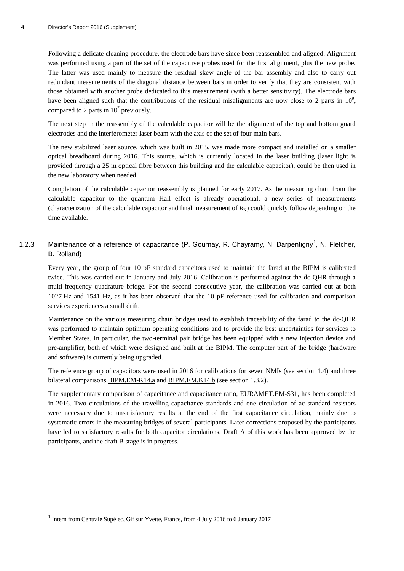Following a delicate cleaning procedure, the electrode bars have since been reassembled and aligned. Alignment was performed using a part of the set of the capacitive probes used for the first alignment, plus the new probe. The latter was used mainly to measure the residual skew angle of the bar assembly and also to carry out redundant measurements of the diagonal distance between bars in order to verify that they are consistent with those obtained with another probe dedicated to this measurement (with a better sensitivity). The electrode bars have been aligned such that the contributions of the residual misalignments are now close to 2 parts in  $10^9$ , compared to 2 parts in  $10^7$  previously.

The next step in the reassembly of the calculable capacitor will be the alignment of the top and bottom guard electrodes and the interferometer laser beam with the axis of the set of four main bars.

The new stabilized laser source, which was built in 2015, was made more compact and installed on a smaller optical breadboard during 2016. This source, which is currently located in the laser building (laser light is provided through a 25 m optical fibre between this building and the calculable capacitor), could be then used in the new laboratory when needed.

Completion of the calculable capacitor reassembly is planned for early 2017. As the measuring chain from the calculable capacitor to the quantum Hall effect is already operational, a new series of measurements (characterization of the calculable capacitor and final measurement of  $R_K$ ) could quickly follow depending on the time available.

[1](#page-4-0).2.3 Maintenance of a reference of capacitance (P. Gournay, R. Chayramy, N. Darpentigny<sup>1</sup>, N. Fletcher, B. Rolland)

Every year, the group of four 10 pF standard capacitors used to maintain the farad at the BIPM is calibrated twice. This was carried out in January and July 2016. Calibration is performed against the dc-QHR through a multi-frequency quadrature bridge. For the second consecutive year, the calibration was carried out at both 1027 Hz and 1541 Hz, as it has been observed that the 10 pF reference used for calibration and comparison services experiences a small drift.

Maintenance on the various measuring chain bridges used to establish traceability of the farad to the dc-QHR was performed to maintain optimum operating conditions and to provide the best uncertainties for services to Member States. In particular, the two-terminal pair bridge has been equipped with a new injection device and pre-amplifier, both of which were designed and built at the BIPM. The computer part of the bridge (hardware and software) is currently being upgraded.

The reference group of capacitors were used in 2016 for calibrations for seven NMIs (see section 1.4) and three bilateral comparisons [BIPM.EM-K14.a](http://kcdb.bipm.org/appendixB/KCDB_ApB_info.asp?cmp_idy=511&cmp_cod=BIPM.EM-K14.a&prov=exalead) and [BIPM.EM.K14.b](http://kcdb.bipm.org/appendixB/KCDB_ApB_info.asp?cmp_idy=512&cmp_cod=BIPM.EM-K14.b&prov=exalead) (see section 1.3.2).

The supplementary comparison of capacitance and capacitance ratio, [EURAMET.EM-S31,](http://kcdb.bipm.org/appendixB/KCDB_ApB_info.asp?cmp_idy=939&cmp_cod=EURAMET%2EEM%2DS31&page=1&search=2&cmp_cod_search=EURAMET%2EEM%2DS31&met_idy=&bra_idy=&epo_idy=&cmt_idy=&ett_idy_org=&lab_idy=&cou_cod=) has been completed in 2016. Two circulations of the travelling capacitance standards and one circulation of ac standard resistors were necessary due to unsatisfactory results at the end of the first capacitance circulation, mainly due to systematic errors in the measuring bridges of several participants. Later corrections proposed by the participants have led to satisfactory results for both capacitor circulations. Draft A of this work has been approved by the participants, and the draft B stage is in progress.

<span id="page-4-0"></span><sup>&</sup>lt;sup>1</sup> Intern from Centrale Supélec, Gif sur Yvette, France, from 4 July 2016 to 6 January 2017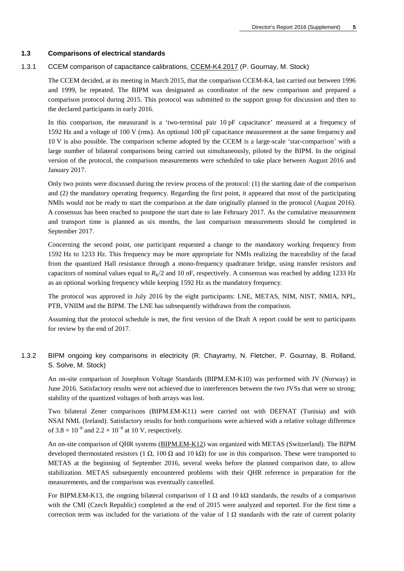#### **1.3 Comparisons of electrical standards**

#### 1.3.1 CCEM comparison of capacitance calibrations, [CCEM-K4.2017](http://kcdb.bipm.org/appendixB/KCDB_ApB_info.asp?cmp_idy=1597&cmp_cod=CCEM-K4.2017&prov=exalead) (P. Gournay, M. Stock)

The CCEM decided, at its meeting in March 2015, that the comparison CCEM-K4, last carried out between 1996 and 1999, be repeated. The BIPM was designated as coordinator of the new comparison and prepared a comparison protocol during 2015. This protocol was submitted to the support group for discussion and then to the declared participants in early 2016.

In this comparison, the measurand is a 'two-terminal pair 10 pF capacitance' measured at a frequency of 1592 Hz and a voltage of 100 V (rms). An optional 100 pF capacitance measurement at the same frequency and 10 V is also possible. The comparison scheme adopted by the CCEM is a large-scale 'star-comparison' with a large number of bilateral comparisons being carried out simultaneously, piloted by the BIPM. In the original version of the protocol, the comparison measurements were scheduled to take place between August 2016 and January 2017.

Only two points were discussed during the review process of the protocol: (1) the starting date of the comparison and (2) the mandatory operating frequency. Regarding the first point, it appeared that most of the participating NMIs would not be ready to start the comparison at the date originally planned in the protocol (August 2016). A consensus has been reached to postpone the start date to late February 2017. As the cumulative measurement and transport time is planned as six months, the last comparison measurements should be completed in September 2017.

Concerning the second point, one participant requested a change to the mandatory working frequency from 1592 Hz to 1233 Hz. This frequency may be more appropriate for NMIs realizing the traceability of the farad from the quantized Hall resistance through a mono-frequency quadrature bridge, using transfer resistors and capacitors of nominal values equal to  $R_K/2$  and 10 nF, respectively. A consensus was reached by adding 1233 Hz as an optional working frequency while keeping 1592 Hz as the mandatory frequency.

The protocol was approved in July 2016 by the eight participants: LNE, METAS, NIM, NIST, NMIA, NPL, PTB, VNIIM and the BIPM. The LNE has subsequently withdrawn from the comparison.

Assuming that the protocol schedule is met, the first version of the Draft A report could be sent to participants for review by the end of 2017.

# 1.3.2 BIPM ongoing key comparisons in electricity (R. Chayramy, N. Fletcher, P. Gournay, B. Rolland, S. Solve, M. Stock)

An on-site comparison of Josephson Voltage Standards (BIPM.EM-K10) was performed with JV (Norway) in June 2016. Satisfactory results were not achieved due to interferences between the two JVSs that were so strong; stability of the quantized voltages of both arrays was lost.

Two bilateral Zener comparisons (BIPM.EM-K11) were carried out with DEFNAT (Tunisia) and with NSAI NML (Ireland). Satisfactory results for both comparisons were achieved with a relative voltage difference of  $3.8 \times 10^{-8}$  and  $2.2 \times 10^{-8}$  at 10 V, respectively.

An on-site comparison of QHR systems [\(BIPM.EM-K12\)](http://kcdb.bipm.org/appendixB/KCDB_ApB_info.asp?cmp_idy=60&cmp_cod=BIPM%2EEM%2DK12&page=1&search=2&cmp_cod_search=BIPM%2EEM%2DK12&met_idy=&bra_idy=&epo_idy=&cmt_idy=&ett_idy_org=&lab_idy=&cou_cod=) was organized with METAS (Switzerland). The BIPM developed thermostated resistors (1 Ω, 100 Ω and 10 kΩ) for use in this comparison. These were transported to METAS at the beginning of September 2016, several weeks before the planned comparison date, to allow stabilization. METAS subsequently encountered problems with their QHR reference in preparation for the measurements, and the comparison was eventually cancelled.

For BIPM.EM-K13, the ongoing bilateral comparison of 1  $\Omega$  and 10 k $\Omega$  standards, the results of a comparison with the CMI (Czech Republic) completed at the end of 2015 were analyzed and reported. For the first time a correction term was included for the variations of the value of  $1 \Omega$  standards with the rate of current polarity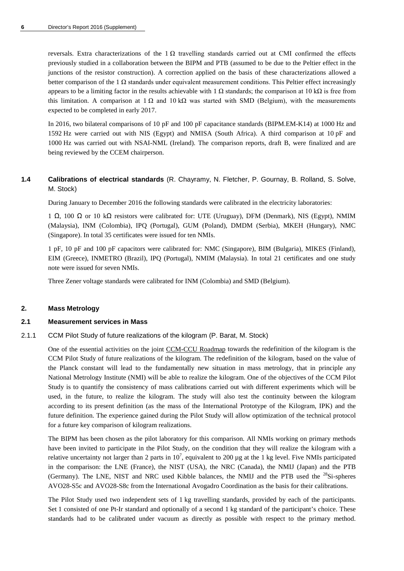reversals. Extra characterizations of the 1  $\Omega$  travelling standards carried out at CMI confirmed the effects previously studied in a collaboration between the BIPM and PTB (assumed to be due to the Peltier effect in the junctions of the resistor construction). A correction applied on the basis of these characterizations allowed a better comparison of the 1  $\Omega$  standards under equivalent measurement conditions. This Peltier effect increasingly appears to be a limiting factor in the results achievable with 1 Ω standards; the comparison at 10 kΩ is free from this limitation. A comparison at 1 Ω and 10 kΩ was started with SMD (Belgium), with the measurements expected to be completed in early 2017.

In 2016, two bilateral comparisons of 10 pF and 100 pF capacitance standards (BIPM.EM-K14) at 1000 Hz and 1592 Hz were carried out with NIS (Egypt) and NMISA (South Africa). A third comparison at 10 pF and 1000 Hz was carried out with NSAI-NML (Ireland). The comparison reports, draft B, were finalized and are being reviewed by the CCEM chairperson.

# **1.4 Calibrations of electrical standards** (R. Chayramy, N. Fletcher, P. Gournay, B. Rolland, S. Solve, M. Stock)

During January to December 2016 the following standards were calibrated in the electricity laboratories:

1 Ω, 100 Ω or 10 kΩ resistors were calibrated for: UTE (Uruguay), DFM (Denmark), NIS (Egypt), NMIM (Malaysia), INM (Colombia), IPQ (Portugal), GUM (Poland), DMDM (Serbia), MKEH (Hungary), NMC (Singapore). In total 35 certificates were issued for ten NMIs.

1 pF, 10 pF and 100 pF capacitors were calibrated for: NMC (Singapore), BIM (Bulgaria), MIKES (Finland), EIM (Greece), INMETRO (Brazil), IPQ (Portugal), NMIM (Malaysia). In total 21 certificates and one study note were issued for seven NMIs.

Three Zener voltage standards were calibrated for INM (Colombia) and SMD (Belgium).

#### **2. Mass Metrology**

#### **2.1 Measurement services in Mass**

2.1.1 CCM Pilot Study of future realizations of the kilogram (P. Barat, M. Stock)

One of the essential activities on the joint [CCM-CCU Roadmap](http://www.bipm.org/utils/common/pdf/SI-roadmap.pdf) towards the redefinition of the kilogram is the CCM Pilot Study of future realizations of the kilogram. The redefinition of the kilogram, based on the value of the Planck constant will lead to the fundamentally new situation in mass metrology, that in principle any National Metrology Institute (NMI) will be able to realize the kilogram. One of the objectives of the CCM Pilot Study is to quantify the consistency of mass calibrations carried out with different experiments which will be used, in the future, to realize the kilogram. The study will also test the continuity between the kilogram according to its present definition (as the mass of the International Prototype of the Kilogram, IPK) and the future definition. The experience gained during the Pilot Study will allow optimization of the technical protocol for a future key comparison of kilogram realizations.

The BIPM has been chosen as the pilot laboratory for this comparison. All NMIs working on primary methods have been invited to participate in the Pilot Study, on the condition that they will realize the kilogram with a relative uncertainty not larger than 2 parts in  $10^7$ , equivalent to 200 µg at the 1 kg level. Five NMIs participated in the comparison: the LNE (France), the NIST (USA), the NRC (Canada), the NMIJ (Japan) and the PTB (Germany). The LNE, NIST and NRC used Kibble balances, the NMIJ and the PTB used the  $^{28}$ Si-spheres AVO28-S5c and AVO28-S8c from the International Avogadro Coordination as the basis for their calibrations.

The Pilot Study used two independent sets of 1 kg travelling standards, provided by each of the participants. Set 1 consisted of one Pt-Ir standard and optionally of a second 1 kg standard of the participant's choice. These standards had to be calibrated under vacuum as directly as possible with respect to the primary method.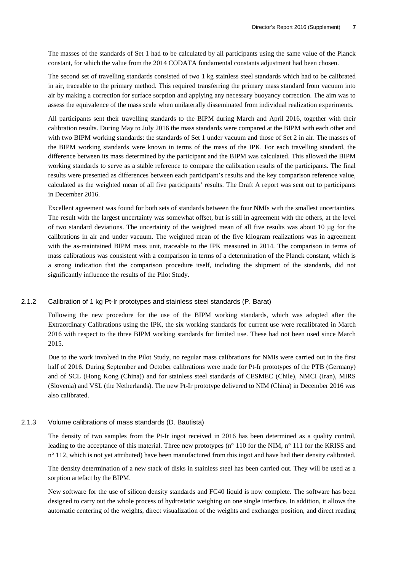The masses of the standards of Set 1 had to be calculated by all participants using the same value of the Planck constant, for which the value from the 2014 CODATA fundamental constants adjustment had been chosen.

The second set of travelling standards consisted of two 1 kg stainless steel standards which had to be calibrated in air, traceable to the primary method. This required transferring the primary mass standard from vacuum into air by making a correction for surface sorption and applying any necessary buoyancy correction. The aim was to assess the equivalence of the mass scale when unilaterally disseminated from individual realization experiments.

All participants sent their travelling standards to the BIPM during March and April 2016, together with their calibration results. During May to July 2016 the mass standards were compared at the BIPM with each other and with two BIPM working standards: the standards of Set 1 under vacuum and those of Set 2 in air. The masses of the BIPM working standards were known in terms of the mass of the IPK. For each travelling standard, the difference between its mass determined by the participant and the BIPM was calculated. This allowed the BIPM working standards to serve as a stable reference to compare the calibration results of the participants. The final results were presented as differences between each participant's results and the key comparison reference value, calculated as the weighted mean of all five participants' results. The Draft A report was sent out to participants in December 2016.

Excellent agreement was found for both sets of standards between the four NMIs with the smallest uncertainties. The result with the largest uncertainty was somewhat offset, but is still in agreement with the others, at the level of two standard deviations. The uncertainty of the weighted mean of all five results was about 10 µg for the calibrations in air and under vacuum. The weighted mean of the five kilogram realizations was in agreement with the as-maintained BIPM mass unit, traceable to the IPK measured in 2014. The comparison in terms of mass calibrations was consistent with a comparison in terms of a determination of the Planck constant, which is a strong indication that the comparison procedure itself, including the shipment of the standards, did not significantly influence the results of the Pilot Study.

#### 2.1.2 Calibration of 1 kg Pt-Ir prototypes and stainless steel standards (P. Barat)

Following the new procedure for the use of the BIPM working standards, which was adopted after the Extraordinary Calibrations using the IPK, the six working standards for current use were recalibrated in March 2016 with respect to the three BIPM working standards for limited use. These had not been used since March 2015.

Due to the work involved in the Pilot Study, no regular mass calibrations for NMIs were carried out in the first half of 2016. During September and October calibrations were made for Pt-Ir prototypes of the PTB (Germany) and of SCL (Hong Kong (China)) and for stainless steel standards of CESMEC (Chile), NMCI (Iran), MIRS (Slovenia) and VSL (the Netherlands). The new Pt-Ir prototype delivered to NIM (China) in December 2016 was also calibrated.

#### 2.1.3 Volume calibrations of mass standards (D. Bautista)

The density of two samples from the Pt-Ir ingot received in 2016 has been determined as a quality control, leading to the acceptance of this material. Three new prototypes (n° 110 for the NIM, n° 111 for the KRISS and n° 112, which is not yet attributed) have been manufactured from this ingot and have had their density calibrated.

The density determination of a new stack of disks in stainless steel has been carried out. They will be used as a sorption artefact by the BIPM.

New software for the use of silicon density standards and FC40 liquid is now complete. The software has been designed to carry out the whole process of hydrostatic weighing on one single interface. In addition, it allows the automatic centering of the weights, direct visualization of the weights and exchanger position, and direct reading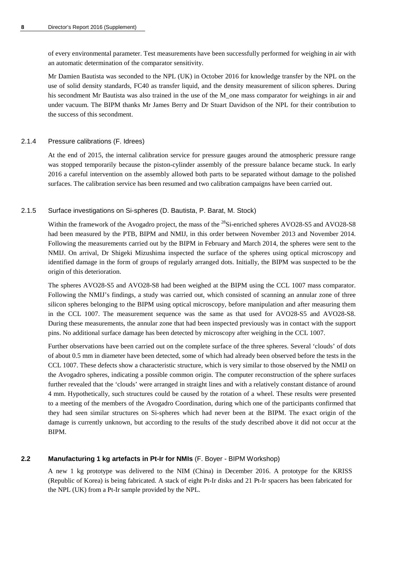of every environmental parameter. Test measurements have been successfully performed for weighing in air with an automatic determination of the comparator sensitivity.

Mr Damien Bautista was seconded to the NPL (UK) in October 2016 for knowledge transfer by the NPL on the use of solid density standards, FC40 as transfer liquid, and the density measurement of silicon spheres. During his secondment Mr Bautista was also trained in the use of the M\_one mass comparator for weighings in air and under vacuum. The BIPM thanks Mr James Berry and Dr Stuart Davidson of the NPL for their contribution to the success of this secondment.

#### 2.1.4 Pressure calibrations (F. Idrees)

At the end of 2015, the internal calibration service for pressure gauges around the atmospheric pressure range was stopped temporarily because the piston-cylinder assembly of the pressure balance became stuck. In early 2016 a careful intervention on the assembly allowed both parts to be separated without damage to the polished surfaces. The calibration service has been resumed and two calibration campaigns have been carried out.

#### 2.1.5 Surface investigations on Si-spheres (D. Bautista, P. Barat, M. Stock)

Within the framework of the Avogadro project, the mass of the <sup>28</sup>Si-enriched spheres AVO28-S5 and AVO28-S8 had been measured by the PTB, BIPM and NMIJ, in this order between November 2013 and November 2014. Following the measurements carried out by the BIPM in February and March 2014, the spheres were sent to the NMIJ. On arrival, Dr Shigeki Mizushima inspected the surface of the spheres using optical microscopy and identified damage in the form of groups of regularly arranged dots. Initially, the BIPM was suspected to be the origin of this deterioration.

The spheres AVO28-S5 and AVO28-S8 had been weighed at the BIPM using the CCL 1007 mass comparator. Following the NMIJ's findings, a study was carried out, which consisted of scanning an annular zone of three silicon spheres belonging to the BIPM using optical microscopy, before manipulation and after measuring them in the CCL 1007. The measurement sequence was the same as that used for AVO28-S5 and AVO28-S8. During these measurements, the annular zone that had been inspected previously was in contact with the support pins. No additional surface damage has been detected by microscopy after weighing in the CCL 1007.

Further observations have been carried out on the complete surface of the three spheres. Several 'clouds' of dots of about 0.5 mm in diameter have been detected, some of which had already been observed before the tests in the CCL 1007. These defects show a characteristic structure, which is very similar to those observed by the NMIJ on the Avogadro spheres, indicating a possible common origin. The computer reconstruction of the sphere surfaces further revealed that the 'clouds' were arranged in straight lines and with a relatively constant distance of around 4 mm. Hypothetically, such structures could be caused by the rotation of a wheel. These results were presented to a meeting of the members of the Avogadro Coordination, during which one of the participants confirmed that they had seen similar structures on Si-spheres which had never been at the BIPM. The exact origin of the damage is currently unknown, but according to the results of the study described above it did not occur at the BIPM.

#### **2.2 Manufacturing 1 kg artefacts in Pt-Ir for NMIs** (F. Boyer - BIPM Workshop)

A new 1 kg prototype was delivered to the NIM (China) in December 2016. A prototype for the KRISS (Republic of Korea) is being fabricated. A stack of eight Pt-Ir disks and 21 Pt-Ir spacers has been fabricated for the NPL (UK) from a Pt-Ir sample provided by the NPL.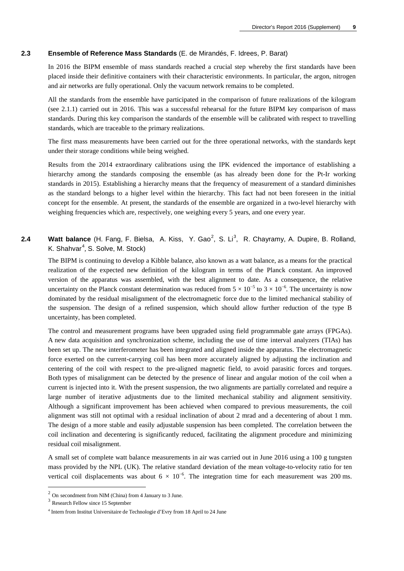#### **2.3 Ensemble of Reference Mass Standards** (E. de Mirandés, F. Idrees, P. Barat)

In 2016 the BIPM ensemble of mass standards reached a crucial step whereby the first standards have been placed inside their definitive containers with their characteristic environments. In particular, the argon, nitrogen and air networks are fully operational. Only the vacuum network remains to be completed.

All the standards from the ensemble have participated in the comparison of future realizations of the kilogram (see 2.1.1) carried out in 2016. This was a successful rehearsal for the future BIPM key comparison of mass standards. During this key comparison the standards of the ensemble will be calibrated with respect to travelling standards, which are traceable to the primary realizations.

The first mass measurements have been carried out for the three operational networks, with the standards kept under their storage conditions while being weighed.

Results from the 2014 extraordinary calibrations using the IPK evidenced the importance of establishing a hierarchy among the standards composing the ensemble (as has already been done for the Pt-Ir working standards in 2015). Establishing a hierarchy means that the frequency of measurement of a standard diminishes as the standard belongs to a higher level within the hierarchy. This fact had not been foreseen in the initial concept for the ensemble. At present, the standards of the ensemble are organized in a two-level hierarchy with weighing frequencies which are, respectively, one weighing every 5 years, and one every year.

# [2](#page-9-0).4 **Watt balance** (H. Fang, F. Bielsa, A. Kiss, Y. Gao<sup>2</sup>, S. Li<sup>[3](#page-9-1)</sup>, R. Chayramy, A. Dupire, B. Rolland, K. Shahvar<sup>[4](#page-9-2)</sup>, S. Solve, M. Stock)

The BIPM is continuing to develop a Kibble balance, also known as a watt balance, as a means for the practical realization of the expected new definition of the kilogram in terms of the Planck constant. An improved version of the apparatus was assembled, with the best alignment to date. As a consequence, the relative uncertainty on the Planck constant determination was reduced from  $5 \times 10^{-5}$  to  $3 \times 10^{-6}$ . The uncertainty is now dominated by the residual misalignment of the electromagnetic force due to the limited mechanical stability of the suspension. The design of a refined suspension, which should allow further reduction of the type B uncertainty, has been completed.

The control and measurement programs have been upgraded using field programmable gate arrays (FPGAs). A new data acquisition and synchronization scheme, including the use of time interval analyzers (TIAs) has been set up. The new interferometer has been integrated and aligned inside the apparatus. The electromagnetic force exerted on the current-carrying coil has been more accurately aligned by adjusting the inclination and centering of the coil with respect to the pre-aligned magnetic field, to avoid parasitic forces and torques. Both types of misalignment can be detected by the presence of linear and angular motion of the coil when a current is injected into it. With the present suspension, the two alignments are partially correlated and require a large number of iterative adjustments due to the limited mechanical stability and alignment sensitivity. Although a significant improvement has been achieved when compared to previous measurements, the coil alignment was still not optimal with a residual inclination of about 2 mrad and a decentering of about 1 mm. The design of a more stable and easily adjustable suspension has been completed. The correlation between the coil inclination and decentering is significantly reduced, facilitating the alignment procedure and minimizing residual coil misalignment.

A small set of complete watt balance measurements in air was carried out in June 2016 using a 100 g tungsten mass provided by the NPL (UK). The relative standard deviation of the mean voltage-to-velocity ratio for ten vertical coil displacements was about  $6 \times 10^{-6}$ . The integration time for each measurement was 200 ms.

<span id="page-9-0"></span> $\frac{2}{3}$  On secondment from NIM (China) from 4 January to 3 June.<br> $\frac{3}{3}$  Research Fellow since 15 September

<span id="page-9-1"></span>

<span id="page-9-2"></span><sup>4</sup> Intern from Institut Universitaire de Technologie d'Evry from 18 April to 24 June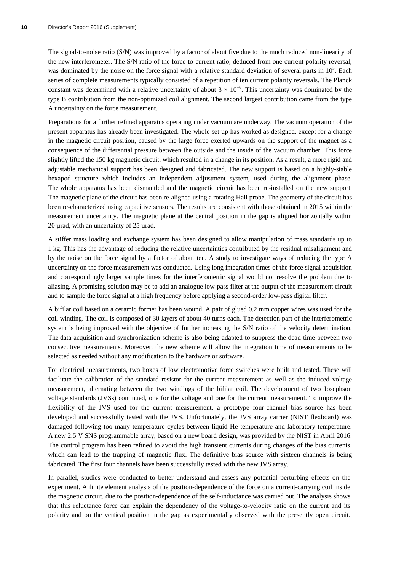The signal-to-noise ratio (S/N) was improved by a factor of about five due to the much reduced non-linearity of the new interferometer. The S/N ratio of the force-to-current ratio, deduced from one current polarity reversal, was dominated by the noise on the force signal with a relative standard deviation of several parts in  $10<sup>5</sup>$ . Each series of complete measurements typically consisted of a repetition of ten current polarity reversals. The Planck constant was determined with a relative uncertainty of about  $3 \times 10^{-6}$ . This uncertainty was dominated by the type B contribution from the non-optimized coil alignment. The second largest contribution came from the type A uncertainty on the force measurement.

Preparations for a further refined apparatus operating under vacuum are underway. The vacuum operation of the present apparatus has already been investigated. The whole set-up has worked as designed, except for a change in the magnetic circuit position, caused by the large force exerted upwards on the support of the magnet as a consequence of the differential pressure between the outside and the inside of the vacuum chamber. This force slightly lifted the 150 kg magnetic circuit, which resulted in a change in its position. As a result, a more rigid and adjustable mechanical support has been designed and fabricated. The new support is based on a highly-stable hexapod structure which includes an independent adjustment system, used during the alignment phase. The whole apparatus has been dismantled and the magnetic circuit has been re-installed on the new support. The magnetic plane of the circuit has been re-aligned using a rotating Hall probe. The geometry of the circuit has been re-characterized using capacitive sensors. The results are consistent with those obtained in 2015 within the measurement uncertainty. The magnetic plane at the central position in the gap is aligned horizontally within 20 µrad, with an uncertainty of 25 µrad.

A stiffer mass loading and exchange system has been designed to allow manipulation of mass standards up to 1 kg. This has the advantage of reducing the relative uncertainties contributed by the residual misalignment and by the noise on the force signal by a factor of about ten. A study to investigate ways of reducing the type A uncertainty on the force measurement was conducted. Using long integration times of the force signal acquisition and correspondingly larger sample times for the interferometric signal would not resolve the problem due to aliasing. A promising solution may be to add an analogue low-pass filter at the output of the measurement circuit and to sample the force signal at a high frequency before applying a second-order low-pass digital filter.

A bifilar coil based on a ceramic former has been wound. A pair of glued 0.2 mm copper wires was used for the coil winding. The coil is composed of 30 layers of about 40 turns each. The detection part of the interferometric system is being improved with the objective of further increasing the S/N ratio of the velocity determination. The data acquisition and synchronization scheme is also being adapted to suppress the dead time between two consecutive measurements. Moreover, the new scheme will allow the integration time of measurements to be selected as needed without any modification to the hardware or software.

For electrical measurements, two boxes of low electromotive force switches were built and tested. These will facilitate the calibration of the standard resistor for the current measurement as well as the induced voltage measurement, alternating between the two windings of the bifilar coil. The development of two Josephson voltage standards (JVSs) continued, one for the voltage and one for the current measurement. To improve the flexibility of the JVS used for the current measurement, a prototype four-channel bias source has been developed and successfully tested with the JVS. Unfortunately, the JVS array carrier (NIST flexboard) was damaged following too many temperature cycles between liquid He temperature and laboratory temperature. A new 2.5 V SNS programmable array, based on a new board design, was provided by the NIST in April 2016. The control program has been refined to avoid the high transient currents during changes of the bias currents, which can lead to the trapping of magnetic flux. The definitive bias source with sixteen channels is being fabricated. The first four channels have been successfully tested with the new JVS array.

In parallel, studies were conducted to better understand and assess any potential perturbing effects on the experiment. A finite element analysis of the position-dependence of the force on a current-carrying coil inside the magnetic circuit, due to the position-dependence of the self-inductance was carried out. The analysis shows that this reluctance force can explain the dependency of the voltage-to-velocity ratio on the current and its polarity and on the vertical position in the gap as experimentally observed with the presently open circuit.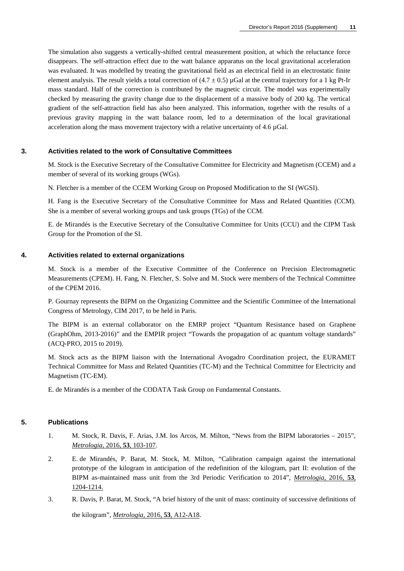The simulation also suggests a vertically-shifted central measurement position, at which the reluctance force disappears. The self-attraction effect due to the watt balance apparatus on the local gravitational acceleration was evaluated. It was modelled by treating the gravitational field as an electrical field in an electrostatic finite element analysis. The result yields a total correction of  $(4.7 \pm 0.5)$  uGal at the central trajectory for a 1 kg Pt-Ir mass standard. Half of the correction is contributed by the magnetic circuit. The model was experimentally checked by measuring the gravity change due to the displacement of a massive body of 200 kg. The vertical gradient of the self-attraction field has also been analyzed. This information, together with the results of a previous gravity mapping in the watt balance room, led to a determination of the local gravitational acceleration along the mass movement trajectory with a relative uncertainty of 4.6 µGal.

# **3. Activities related to the work of Consultative Committees**

M. Stock is the Executive Secretary of the Consultative Committee for Electricity and Magnetism (CCEM) and a member of several of its working groups (WGs).

N. Fletcher is a member of the CCEM Working Group on Proposed Modification to the SI (WGSI).

H. Fang is the Executive Secretary of the Consultative Committee for Mass and Related Quantities (CCM). She is a member of several working groups and task groups (TGs) of the CCM.

E. de Mirandés is the Executive Secretary of the Consultative Committee for Units (CCU) and the CIPM Task Group for the Promotion of the SI.

#### **4. Activities related to external organizations**

M. Stock is a member of the Executive Committee of the Conference on Precision Electromagnetic Measurements (CPEM). H. Fang, N. Fletcher, S. Solve and M. Stock were members of the Technical Committee of the CPEM 2016.

P. Gournay represents the BIPM on the Organizing Committee and the Scientific Committee of the International Congress of Metrology, CIM 2017, to be held in Paris.

The BIPM is an external collaborator on the EMRP project "Quantum Resistance based on Graphene (GraphOhm, 2013-2016)" and the EMPIR project "Towards the propagation of ac quantum voltage standards" (ACQ-PRO, 2015 to 2019).

M. Stock acts as the BIPM liaison with the International Avogadro Coordination project, the EURAMET Technical Committee for Mass and Related Quantities (TC-M) and the Technical Committee for Electricity and Magnetism (TC-EM).

E. de Mirandés is a member of the CODATA Task Group on Fundamental Constants.

#### **5. Publications**

- 1. M. Stock, R. Davis, F. Arias, J.M. los Arcos, M. Milton, "News from the BIPM laboratories 2015", *[Metrologia,](http://stacks.iop.org/0026-1394/53/103)* 2016, **53**, 103-107.
- 2. E. de Mirandés, P. Barat, M. Stock, M. Milton, "Calibration campaign against the international prototype of the kilogram in anticipation of the redefinition of the kilogram, part II: evolution of the BIPM as-maintained mass unit from the 3rd Periodic Verification to 2014", *[Metrologia,](http://stacks.iop.org/0026-1394/53/1204)* 2016, **53**, [1204-1214.](http://stacks.iop.org/0026-1394/53/1204)
- 3. R. Davis, P. Barat, M. Stock, "A brief history of the unit of mass: continuity of successive definitions of

the kilogram", *[Metrologia,](http://stacks.iop.org/0026-1394/53/A12)* 2016, **53**, A12-A18.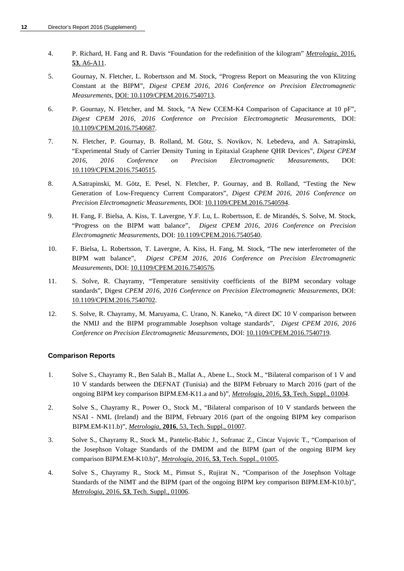- 4. P. Richard, H. Fang and R. Davis "Foundation for the redefinition of the kilogram" *[Metrologia](http://stacks.iop.org/0026-1394/53/A6)*, 2016, **53**[, A6-A11.](http://stacks.iop.org/0026-1394/53/A6)
- 5. Gournay, N. Fletcher, L. Robertsson and M. Stock, "Progress Report on Measuring the von Klitzing Constant at the BIPM", *Digest CPEM 2016, 2016 Conference on Precision Electromagnetic Measurements*[, DOI: 10.1109/CPEM.2016.7540713.](https://doi.org/10.1109/CPEM.2016.7540713)
- 6. P. Gournay, N. Fletcher, and M. Stock, "A New CCEM-K4 Comparison of Capacitance at 10 pF", *Digest CPEM 2016, 2016 Conference on Precision Electromagnetic Measurements*, DOI: [10.1109/CPEM.2016.7540687.](https://doi.org/10.1109/CPEM.2016.7540687)
- 7. N. Fletcher, P. Gournay, B. Rolland, M. Götz, S. Novikov, N. Lebedeva, and A. Satrapinski, "Experimental Study of Carrier Density Tuning in Epitaxial Graphene QHR Devices", *Digest CPEM 2016, 2016 Conference on Precision Electromagnetic Measurements*, DOI: [10.1109/CPEM.2016.7540515.](https://doi.org/10.1109/CPEM.2016.7540515)
- 8. A.Satrapinski, M. Götz, E. Pesel, N. Fletcher, P. Gournay, and B. Rolland, "Testing the New Generation of Low-Frequency Current Comparators", *Digest CPEM 2016, 2016 Conference on Precision Electromagnetic Measurements*, DOI: [10.1109/CPEM.2016.7540594.](https://doi.org/10.1109/CPEM.2016.7540594)
- 9. H. Fang, F. Bielsa, A. Kiss, T. Lavergne, Y.F. Lu, L. Robertsson, E. de Mirandés, S. Solve, M. Stock, "Progress on the BIPM watt balance", *Digest CPEM 2016, 2016 Conference on Precision Electromagnetic Measurements*, DOI: [10.1109/CPEM.2016.7540540.](https://dx.doi.org/10.1109/CPEM.2016.7540540)
- 10. F. Bielsa, L. Robertsson, T. Lavergne, A. Kiss, H. Fang, M. Stock, "The new interferometer of the BIPM watt balance", *Digest CPEM 2016, 2016 Conference on Precision Electromagnetic Measurements*, DOI: [10.1109/CPEM.2016.7540576](https://dx.doi.org/10.1109/CPEM.2016.7540576)*.*
- 11. S. Solve, R. Chayramy, "Temperature sensitivity coefficients of the BIPM secondary voltage standards", Digest *CPEM 2016, 2016 Conference on Precision Electromagnetic Measurements*, DOI: [10.1109/CPEM.2016.7540702.](https://dx.doi.org/10.1109/CPEM.2016.7540702)
- 12. S. Solve, R. Chayramy, M. Maruyama, C. Urano, N. Kaneko, "A direct DC 10 V comparison between the NMIJ and the BIPM programmable Josephson voltage standards", *Digest CPEM 2016, 2016 Conference on Precision Electromagnetic Measurements*, DOI: [10.1109/CPEM.2016.7540719](https://dx.doi.org/10.1109/CPEM.2016.7540719)*.*

# **Comparison Reports**

- 1. Solve S., Chayramy R., Ben Salah B., Mallat A., Abene L., Stock M., "Bilateral comparison of 1 V and 10 V standards between the DEFNAT (Tunisia) and the BIPM February to March 2016 (part of the ongoing BIPM key comparison BIPM.EM-K11.a and b)", *Metrologia*, 2016, **53**[, Tech. Suppl., 01004.](http://stacks.iop.org/0026-1394/53/01004)
- 2. Solve S., Chayramy R., Power O., Stock M., "Bilateral comparison of 10 V standards between the NSAI - NML (Ireland) and the BIPM, February 2016 (part of the ongoing BIPM key comparison BIPM.EM-K11.b)", *Metrologia*, **2016**, 53, [Tech. Suppl., 01007.](http://stacks.iop.org/0026-1394/53/01007)
- 3. Solve S., Chayramy R., Stock M., Pantelic-Babic J., Sofranac Z., Cincar Vujovic T., "Comparison of the Josephson Voltage Standards of the DMDM and the BIPM (part of the ongoing BIPM key comparison BIPM.EM-K10.b)", *Metrologia*, 2016, **53**[, Tech. Suppl., 01005.](http://stacks.iop.org/0026-1394/53/01005)
- 4. Solve S., Chayramy R., Stock M., Pimsut S., Rujirat N., "Comparison of the Josephson Voltage Standards of the NIMT and the BIPM (part of the ongoing BIPM key comparison BIPM.EM-K10.b)", *Metrologia*, 2016, **53**[, Tech. Suppl., 01006.](http://stacks.iop.org/0026-1394/53/01006)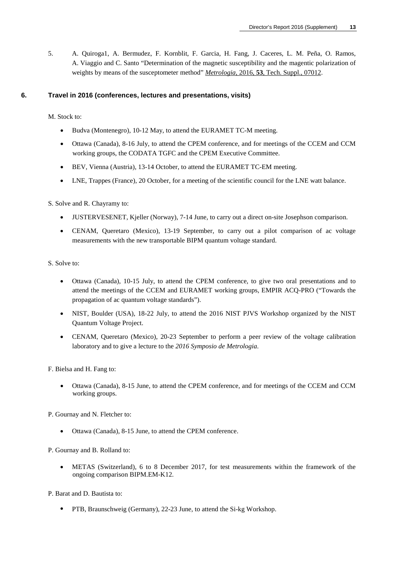5. A. Quiroga1, A. Bermudez, F. Kornblit, F. Garcia, H. Fang, J. Caceres, L. M. Peña, O. Ramos, A. Viaggio and C. Santo "Determination of the magnetic susceptibility and the magentic polarization of weights by means of the susceptometer method" *Metrologia*, 2016, **53**, Tech. Suppl., 07012.

# **6. Travel in 2016 (conferences, lectures and presentations, visits)**

M. Stock to:

- Budva (Montenegro), 10-12 May, to attend the EURAMET TC-M meeting.
- Ottawa (Canada), 8-16 July, to attend the CPEM conference, and for meetings of the CCEM and CCM working groups, the CODATA TGFC and the CPEM Executive Committee.
- BEV, Vienna (Austria), 13-14 October, to attend the EURAMET TC-EM meeting.
- LNE, Trappes (France), 20 October, for a meeting of the scientific council for the LNE watt balance.

S. Solve and R. Chayramy to:

- JUSTERVESENET, Kjeller (Norway), 7-14 June, to carry out a direct on-site Josephson comparison.
- CENAM, Queretaro (Mexico), 13-19 September, to carry out a pilot comparison of ac voltage measurements with the new transportable BIPM quantum voltage standard.

S. Solve to:

- Ottawa (Canada), 10-15 July, to attend the CPEM conference, to give two oral presentations and to attend the meetings of the CCEM and EURAMET working groups, EMPIR ACQ-PRO ("Towards the propagation of ac quantum voltage standards").
- NIST, Boulder (USA), 18-22 July, to attend the 2016 NIST PJVS Workshop organized by the NIST Quantum Voltage Project.
- CENAM, Queretaro (Mexico), 20-23 September to perform a peer review of the voltage calibration laboratory and to give a lecture to the *2016 Symposio de Metrologia*.

F. Bielsa and H. Fang to:

• Ottawa (Canada), 8-15 June, to attend the CPEM conference, and for meetings of the CCEM and CCM working groups.

P. Gournay and N. Fletcher to:

• Ottawa (Canada), 8-15 June, to attend the CPEM conference.

P. Gournay and B. Rolland to:

• METAS (Switzerland), 6 to 8 December 2017, for test measurements within the framework of the ongoing comparison BIPM.EM-K12.

P. Barat and D. Bautista to:

• PTB, Braunschweig (Germany), 22-23 June, to attend the Si-kg Workshop.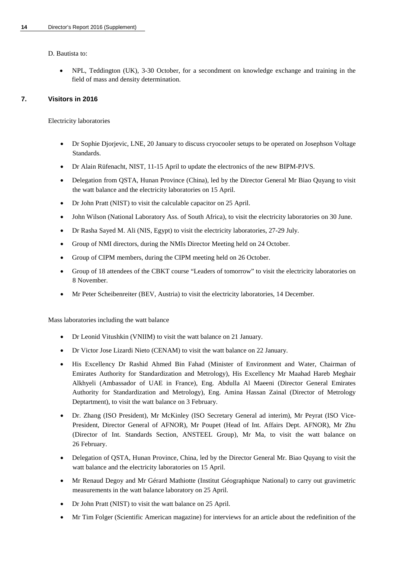D. Bautista to:

• NPL, Teddington (UK), 3-30 October, for a secondment on knowledge exchange and training in the field of mass and density determination.

# **7. Visitors in 2016**

Electricity laboratories

- Dr Sophie Djorjevic, LNE, 20 January to discuss cryocooler setups to be operated on Josephson Voltage Standards.
- Dr Alain Rüfenacht, NIST, 11-15 April to update the electronics of the new BIPM-PJVS.
- Delegation from QSTA, Hunan Province (China), led by the Director General Mr Biao Quyang to visit the watt balance and the electricity laboratories on 15 April.
- Dr John Pratt (NIST) to visit the calculable capacitor on 25 April.
- John Wilson (National Laboratory Ass. of South Africa), to visit the electricity laboratories on 30 June.
- Dr Rasha Sayed M. Ali (NIS, Egypt) to visit the electricity laboratories, 27-29 July.
- Group of NMI directors, during the NMIs Director Meeting held on 24 October.
- Group of CIPM members, during the CIPM meeting held on 26 October.
- Group of 18 attendees of the CBKT course "Leaders of tomorrow" to visit the electricity laboratories on 8 November.
- Mr Peter Scheibenreiter (BEV, Austria) to visit the electricity laboratories, 14 December.

Mass laboratories including the watt balance

- Dr Leonid Vitushkin (VNIIM) to visit the watt balance on 21 January.
- Dr Victor Jose Lizardi Nieto (CENAM) to visit the watt balance on 22 January.
- His Excellency Dr Rashid Ahmed Bin Fahad (Minister of Environment and Water, Chairman of Emirates Authority for Standardization and Metrology), His Excellency Mr Maahad Hareb Meghair Alkhyeli (Ambassador of UAE in France), Eng. Abdulla Al Maeeni (Director General Emirates Authority for Standardization and Metrology), Eng. Amina Hassan Zainal (Director of Metrology Deptartment), to visit the watt balance on 3 February.
- Dr. Zhang (ISO President), Mr McKinley (ISO Secretary General ad interim), Mr Peyrat (ISO Vice-President, Director General of AFNOR), Mr Poupet (Head of Int. Affairs Dept. AFNOR), Mr Zhu (Director of Int. Standards Section, ANSTEEL Group), Mr Ma, to visit the watt balance on 26 February.
- Delegation of QSTA, Hunan Province, China, led by the Director General Mr. Biao Quyang to visit the watt balance and the electricity laboratories on 15 April.
- Mr Renaud Degoy and Mr Gérard Mathiotte (Institut Géographique National) to carry out gravimetric measurements in the watt balance laboratory on 25 April.
- Dr John Pratt (NIST) to visit the watt balance on 25 April.
- Mr Tim Folger (Scientific American magazine) for interviews for an article about the redefinition of the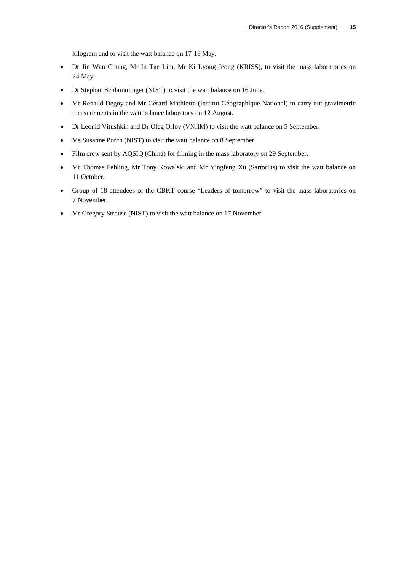kilogram and to visit the watt balance on 17-18 May.

- Dr Jin Wan Chung, Mr In Tae Lim, Mr Ki Lyong Jeong (KRISS), to visit the mass laboratories on 24 May.
- Dr Stephan Schlamminger (NIST) to visit the watt balance on 16 June.
- Mr Renaud Degoy and Mr Gérard Mathiotte (Institut Géographique National) to carry out gravimetric measurements in the watt balance laboratory on 12 August.
- Dr Leonid Vitushkin and Dr Oleg Orlov (VNIIM) to visit the watt balance on 5 September.
- Ms Susanne Porch (NIST) to visit the watt balance on 8 September.
- Film crew sent by AQSIQ (China) for filming in the mass laboratory on 29 September.
- Mr Thomas Fehling, Mr Tony Kowalski and Mr Yingfeng Xu (Sartorius) to visit the watt balance on 11 October.
- Group of 18 attendees of the CBKT course "Leaders of tomorrow" to visit the mass laboratories on 7 November.
- Mr Gregory Strouse (NIST) to visit the watt balance on 17 November.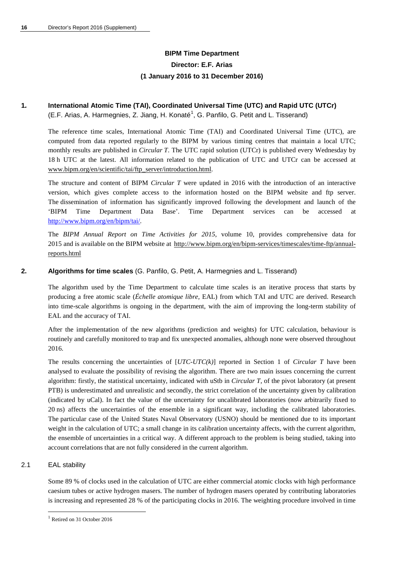# **BIPM Time Department Director: E.F. Arias (1 January 2016 to 31 December 2016)**

# **1***.* **International Atomic Time (TAI), Coordinated Universal Time (UTC) and Rapid UTC (UTCr)** (E.F. Arias, A. Harmegnies, Z. Jiang, H. Konaté<sup>[1](#page-16-0)</sup>, G. Panfilo, G. Petit and L. Tisserand)

The reference time scales, International Atomic Time (TAI) and Coordinated Universal Time (UTC), are computed from data reported regularly to the BIPM by various timing centres that maintain a local UTC; monthly results are published in *Circular T*. The UTC rapid solution (UTCr) is published every Wednesday by 18 h UTC at the latest. All information related to the publication of UTC and UTCr can be accessed at [www.bipm.org/en/scientific/tai/ftp\\_server/introduction.html.](http://www.bipm.org/en/scientific/tai/ftp_server/introduction.html)

The structure and content of BIPM *Circular T* were updated in 2016 with the introduction of an interactive version, which gives complete access to the information hosted on the BIPM website and ftp server. The dissemination of information has significantly improved following the development and launch of the 'BIPM Time Department Data Base'. Time Department services can be accessed at [http://www.bipm.org/en/bipm/tai/.](http://www.bipm.org/en/bipm-services/timescales/time-ftp.html.) 

The *BIPM Annual Report on Time Activities for 2015*, volume 10, provides comprehensive data for 2015 and is available on the BIPM website at [http://www.bipm.org/en/bipm-services/timescales/time-ftp/annual](http://www.bipm.org/en/bipm-services/timescales/time-ftp/annual-reports.html)[reports.html](http://www.bipm.org/en/bipm-services/timescales/time-ftp/annual-reports.html)

# **2. Algorithms for time scales** (G. Panfilo, G. Petit, A. Harmegnies and L. Tisserand)

The algorithm used by the Time Department to calculate time scales is an iterative process that starts by producing a free atomic scale (*Échelle atomique libre,* EAL) from which TAI and UTC are derived. Research into time-scale algorithms is ongoing in the department, with the aim of improving the long-term stability of EAL and the accuracy of TAI.

After the implementation of the new algorithms (prediction and weights) for UTC calculation, behaviour is routinely and carefully monitored to trap and fix unexpected anomalies, although none were observed throughout 2016.

The results concerning the uncertainties of [*UTC-UTC(k)*] reported in Section 1 of *Circular T* have been analysed to evaluate the possibility of revising the algorithm. There are two main issues concerning the current algorithm: firstly, the statistical uncertainty, indicated with uStb in *Circular T*, of the pivot laboratory (at present PTB) is underestimated and unrealistic and secondly, the strict correlation of the uncertainty given by calibration (indicated by uCal). In fact the value of the uncertainty for uncalibrated laboratories (now arbitrarily fixed to 20 ns) affects the uncertainties of the ensemble in a significant way, including the calibrated laboratories. The particular case of the United States Naval Observatory (USNO) should be mentioned due to its important weight in the calculation of UTC; a small change in its calibration uncertainty affects, with the current algorithm, the ensemble of uncertainties in a critical way. A different approach to the problem is being studied, taking into account correlations that are not fully considered in the current algorithm.

#### 2.1 EAL stability

-

Some 89 % of clocks used in the calculation of UTC are either commercial atomic clocks with high performance caesium tubes or active hydrogen masers. The number of hydrogen masers operated by contributing laboratories is increasing and represented 28 % of the participating clocks in 2016. The weighting procedure involved in time

<span id="page-16-0"></span><sup>&</sup>lt;sup>1</sup> Retired on 31 October 2016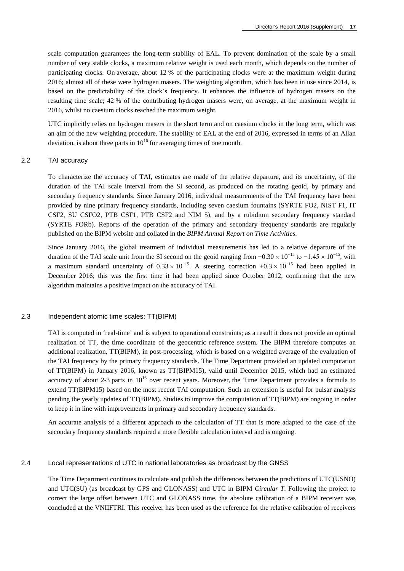scale computation guarantees the long-term stability of EAL. To prevent domination of the scale by a small number of very stable clocks, a maximum relative weight is used each month, which depends on the number of participating clocks. On average, about 12 % of the participating clocks were at the maximum weight during 2016; almost all of these were hydrogen masers. The weighting algorithm, which has been in use since 2014, is based on the predictability of the clock's frequency. It enhances the influence of hydrogen masers on the resulting time scale; 42 % of the contributing hydrogen masers were, on average, at the maximum weight in 2016, whilst no caesium clocks reached the maximum weight.

UTC implicitly relies on hydrogen masers in the short term and on caesium clocks in the long term, which was an aim of the new weighting procedure. The stability of EAL at the end of 2016, expressed in terms of an Allan deviation, is about three parts in  $10^{16}$  for averaging times of one month.

#### 2.2 TAI accuracy

To characterize the accuracy of TAI, estimates are made of the relative departure, and its uncertainty, of the duration of the TAI scale interval from the SI second, as produced on the rotating geoid, by primary and secondary frequency standards. Since January 2016, individual measurements of the TAI frequency have been provided by nine primary frequency standards, including seven caesium fountains (SYRTE FO2, NIST F1, IT CSF2, SU CSFO2, PTB CSF1, PTB CSF2 and NIM 5), and by a rubidium secondary frequency standard (SYRTE FORb). Reports of the operation of the primary and secondary frequency standards are regularly published on the BIPM website and collated in the *[BIPM Annual Report on Time Activities](http://www.bipm.org/en/bipm/tai/annual-report.html)*.

Since January 2016, the global treatment of individual measurements has led to a relative departure of the duration of the TAI scale unit from the SI second on the geoid ranging from  $-0.30 \times 10^{-15}$  to  $-1.45 \times 10^{-15}$ , with a maximum standard uncertainty of  $0.33 \times 10^{-15}$ . A steering correction +0.3 × 10<sup>-15</sup> had been applied in December 2016; this was the first time it had been applied since October 2012, confirming that the new algorithm maintains a positive impact on the accuracy of TAI.

#### 2.3 Independent atomic time scales: TT(BIPM)

TAI is computed in 'real-time' and is subject to operational constraints; as a result it does not provide an optimal realization of TT, the time coordinate of the geocentric reference system. The BIPM therefore computes an additional realization, TT(BIPM), in post-processing, which is based on a weighted average of the evaluation of the TAI frequency by the primary frequency standards. The Time Department provided an updated computation of TT(BIPM) in January 2016, known as TT(BIPM15), valid until December 2015, which had an estimated accuracy of about 2-3 parts in  $10^{16}$  over recent years. Moreover, the Time Department provides a formula to extend TT(BIPM15) based on the most recent TAI computation. Such an extension is useful for pulsar analysis pending the yearly updates of TT(BIPM). Studies to improve the computation of TT(BIPM) are ongoing in order to keep it in line with improvements in primary and secondary frequency standards.

An accurate analysis of a different approach to the calculation of TT that is more adapted to the case of the secondary frequency standards required a more flexible calculation interval and is ongoing.

#### 2.4 Local representations of UTC in national laboratories as broadcast by the GNSS

The Time Department continues to calculate and publish the differences between the predictions of UTC(USNO) and UTC(SU) (as broadcast by GPS and GLONASS) and UTC in BIPM *Circular T*. Following the project to correct the large offset between UTC and GLONASS time, the absolute calibration of a BIPM receiver was concluded at the VNIIFTRI. This receiver has been used as the reference for the relative calibration of receivers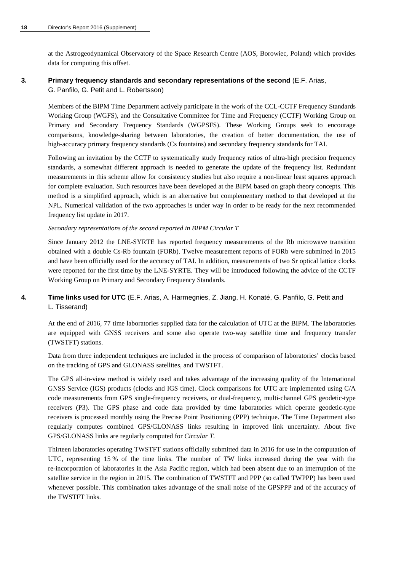at the Astrogeodynamical Observatory of the Space Research Centre (AOS, Borowiec, Poland) which provides data for computing this offset.

# **3. Primary frequency standards and secondary representations of the second** (E.F. Arias,

G. Panfilo, G. Petit and L. Robertsson)

Members of the BIPM Time Department actively participate in the work of the CCL-CCTF Frequency Standards Working Group (WGFS), and the Consultative Committee for Time and Frequency (CCTF) Working Group on Primary and Secondary Frequency Standards (WGPSFS). These Working Groups seek to encourage comparisons, knowledge-sharing between laboratories, the creation of better documentation, the use of high-accuracy primary frequency standards (Cs fountains) and secondary frequency standards for TAI.

Following an invitation by the CCTF to systematically study frequency ratios of ultra-high precision frequency standards, a somewhat different approach is needed to generate the update of the frequency list. Redundant measurements in this scheme allow for consistency studies but also require a non-linear least squares approach for complete evaluation. Such resources have been developed at the BIPM based on graph theory concepts. This method is a simplified approach, which is an alternative but complementary method to that developed at the NPL. Numerical validation of the two approaches is under way in order to be ready for the next recommended frequency list update in 2017.

# *Secondary representations of the second reported in BIPM Circular T*

Since January 2012 the LNE-SYRTE has reported frequency measurements of the Rb microwave transition obtained with a double Cs-Rb fountain (FORb). Twelve measurement reports of FORb were submitted in 2015 and have been officially used for the accuracy of TAI. In addition, measurements of two Sr optical lattice clocks were reported for the first time by the LNE-SYRTE. They will be introduced following the advice of the CCTF Working Group on Primary and Secondary Frequency Standards.

# **4. Time links used for UTC** (E.F. Arias, A. Harmegnies, Z. Jiang, H. Konaté, G. Panfilo, G. Petit and L. Tisserand)

At the end of 2016, 77 time laboratories supplied data for the calculation of UTC at the BIPM. The laboratories are equipped with GNSS receivers and some also operate two-way satellite time and frequency transfer (TWSTFT) stations.

Data from three independent techniques are included in the process of comparison of laboratories' clocks based on the tracking of GPS and GLONASS satellites, and TWSTFT.

The GPS all-in-view method is widely used and takes advantage of the increasing quality of the International GNSS Service (IGS) products (clocks and IGS time). Clock comparisons for UTC are implemented using C/A code measurements from GPS single-frequency receivers, or dual-frequency, multi-channel GPS geodetic-type receivers (P3). The GPS phase and code data provided by time laboratories which operate geodetic-type receivers is processed monthly using the Precise Point Positioning (PPP) technique. The Time Department also regularly computes combined GPS/GLONASS links resulting in improved link uncertainty. About five GPS/GLONASS links are regularly computed for *Circular T*.

Thirteen laboratories operating TWSTFT stations officially submitted data in 2016 for use in the computation of UTC, representing 15 % of the time links. The number of TW links increased during the year with the re-incorporation of laboratories in the Asia Pacific region, which had been absent due to an interruption of the satellite service in the region in 2015. The combination of TWSTFT and PPP (so called TWPPP) has been used whenever possible. This combination takes advantage of the small noise of the GPSPPP and of the accuracy of the TWSTFT links.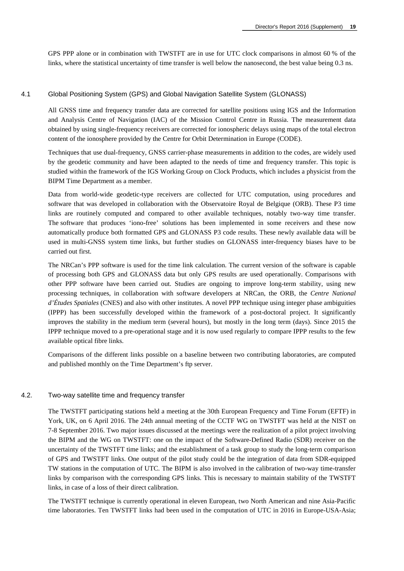GPS PPP alone or in combination with TWSTFT are in use for UTC clock comparisons in almost 60 % of the links, where the statistical uncertainty of time transfer is well below the nanosecond, the best value being 0.3 ns.

## 4.1 Global Positioning System (GPS) and Global Navigation Satellite System (GLONASS)

All GNSS time and frequency transfer data are corrected for satellite positions using IGS and the Information and Analysis Centre of Navigation (IAC) of the Mission Control Centre in Russia. The measurement data obtained by using single-frequency receivers are corrected for ionospheric delays using maps of the total electron content of the ionosphere provided by the Centre for Orbit Determination in Europe (CODE).

Techniques that use dual-frequency, GNSS carrier-phase measurements in addition to the codes, are widely used by the geodetic community and have been adapted to the needs of time and frequency transfer. This topic is studied within the framework of the IGS Working Group on Clock Products, which includes a physicist from the BIPM Time Department as a member.

Data from world-wide geodetic-type receivers are collected for UTC computation, using procedures and software that was developed in collaboration with the Observatoire Royal de Belgique (ORB). These P3 time links are routinely computed and compared to other available techniques, notably two-way time transfer. The software that produces 'iono-free' solutions has been implemented in some receivers and these now automatically produce both formatted GPS and GLONASS P3 code results. These newly available data will be used in multi-GNSS system time links, but further studies on GLONASS inter-frequency biases have to be carried out first.

The NRCan's PPP software is used for the time link calculation. The current version of the software is capable of processing both GPS and GLONASS data but only GPS results are used operationally. Comparisons with other PPP software have been carried out. Studies are ongoing to improve long-term stability, using new processing techniques, in collaboration with software developers at NRCan, the ORB, the *Centre National d'Études Spatiales* (CNES) and also with other institutes. A novel PPP technique using integer phase ambiguities (IPPP) has been successfully developed within the framework of a post-doctoral project. It significantly improves the stability in the medium term (several hours), but mostly in the long term (days). Since 2015 the IPPP technique moved to a pre-operational stage and it is now used regularly to compare IPPP results to the few available optical fibre links.

Comparisons of the different links possible on a baseline between two contributing laboratories, are computed and published monthly on the Time Department's ftp server.

#### 4.2. Two-way satellite time and frequency transfer

The TWSTFT participating stations held a meeting at the 30th European Frequency and Time Forum (EFTF) in York, UK, on 6 April 2016. The 24th annual meeting of the CCTF WG on TWSTFT was held at the NIST on 7-8 September 2016. Two major issues discussed at the meetings were the realization of a pilot project involving the BIPM and the WG on TWSTFT: one on the impact of the Software-Defined Radio (SDR) receiver on the uncertainty of the TWSTFT time links; and the establishment of a task group to study the long-term comparison of GPS and TWSTFT links. One output of the pilot study could be the integration of data from SDR-equipped TW stations in the computation of UTC. The BIPM is also involved in the calibration of two-way time-transfer links by comparison with the corresponding GPS links. This is necessary to maintain stability of the TWSTFT links, in case of a loss of their direct calibration.

The TWSTFT technique is currently operational in eleven European, two North American and nine Asia-Pacific time laboratories. Ten TWSTFT links had been used in the computation of UTC in 2016 in Europe-USA-Asia;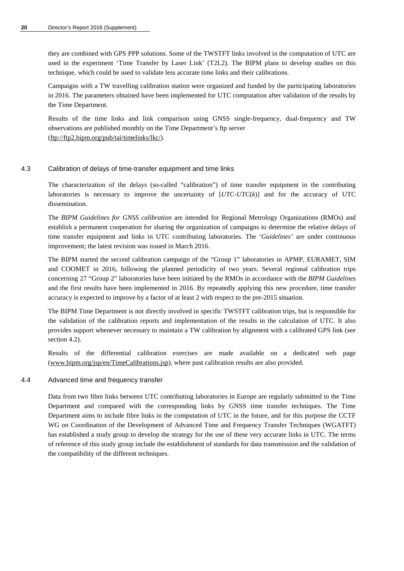they are combined with GPS PPP solutions. Some of the TWSTFT links involved in the computation of UTC are used in the experiment 'Time Transfer by Laser Link' (T2L2). The BIPM plans to develop studies on this technique, which could be used to validate less accurate time links and their calibrations.

Campaigns with a TW travelling calibration station were organized and funded by the participating laboratories in 2016. The parameters obtained have been implemented for UTC computation after validation of the results by the Time Department.

Results of the time links and link comparison using GNSS single-frequency, dual-frequency and TW observations are published monthly on the Time Department's ftp server [\(ftp://ftp2.bipm.org/pub/tai/timelinks/lkc/\)](ftp://ftp2.bipm.org/pub/tai/timelinks/lkc/).

# 4.3 Calibration of delays of time-transfer equipment and time links

The characterization of the delays (so-called "calibration") of time transfer equipment in the contributing laboratories is necessary to improve the uncertainty of [*UTC*-*UTC*(*k*)] and for the accuracy of UTC dissemination.

The *BIPM Guidelines for GNSS calibration* are intended for Regional Metrology Organizations (RMOs) and establish a permanent cooperation for sharing the organization of campaigns to determine the relative delays of time transfer equipment and links in UTC contributing laboratories. The '*Guidelines'* are under continuous improvement; the latest revision was issued in March 2016.

The BIPM started the second calibration campaign of the "Group 1" laboratories in APMP, EURAMET, SIM and COOMET in 2016, following the planned periodicity of two years. Several regional calibration trips concerning 27 "Group 2" laboratories have been initiated by the RMOs in accordance with the *BIPM Guidelines*  and the first results have been implemented in 2016. By repeatedly applying this new procedure, time transfer accuracy is expected to improve by a factor of at least 2 with respect to the pre-2015 situation.

The BIPM Time Department is not directly involved in specific TWSTFT calibration trips, but is responsible for the validation of the calibration reports and implementation of the results in the calculation of UTC. It also provides support whenever necessary to maintain a TW calibration by alignment with a calibrated GPS link (see section 4.2).

Results of the differential calibration exercises are made available on a dedicated web page [\(www.bipm.org/jsp/en/TimeCalibrations.jsp\)](http://www.bipm.org/jsp/en/TimeCalibrations.jsp), where past calibration results are also provided.

#### 4.4 Advanced time and frequency transfer

Data from two fibre links between UTC contributing laboratories in Europe are regularly submitted to the Time Department and compared with the corresponding links by GNSS time transfer techniques. The Time Department aims to include fibre links in the computation of UTC in the future, and for this purpose the CCTF WG on Coordination of the Development of Advanced Time and Frequency Transfer Techniques (WGATFT) has established a study group to develop the strategy for the use of these very accurate links in UTC. The terms of reference of this study group include the establishment of standards for data transmission and the validation of the compatibility of the different techniques.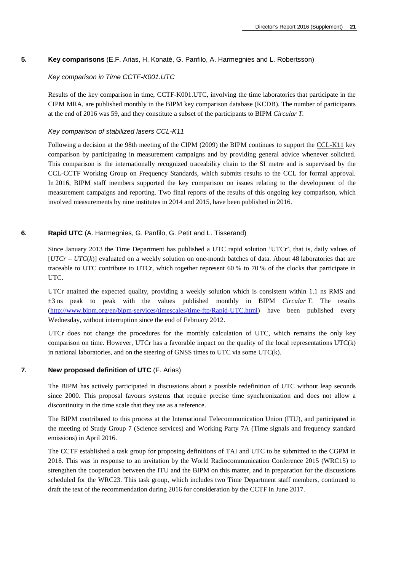# **5. Key comparisons** (E.F. Arias, H. Konaté, G. Panfilo, A. Harmegnies and L. Robertsson)

#### *Key comparison in Time CCTF-K001.UTC*

Results of the key comparison in time, [CCTF-K001.UTC,](http://kcdb.bipm.org/appendixB/KCDB_ApB_info.asp?cmp_idy=617&cmp_cod=CCTF-K001.UTC&prov=exalead) involving the time laboratories that participate in the CIPM MRA, are published monthly in the BIPM key comparison database (KCDB). The number of participants at the end of 2016 was 59, and they constitute a subset of the participants to BIPM *Circular T*.

#### *Key comparison of stabilized lasers CCL-K11*

Following a decision at the 98th meeting of the CIPM (2009) the BIPM continues to support the [CCL-K11](http://kcdb.bipm.org/appendixB/KCDB_ApB_info.asp?cmp_idy=913&cmp_cod=CCL-K11&page=2&search=2&cmp_cod_search=CCL&met_idy=&bra_idy=&epo_idy=&cmt_idy=&ett_idy_org=&lab_idy=&cou_cod=) key comparison by participating in measurement campaigns and by providing general advice whenever solicited. This comparison is the internationally recognized traceability chain to the SI metre and is supervised by the CCL-CCTF Working Group on Frequency Standards, which submits results to the CCL for formal approval. In 2016, BIPM staff members supported the key comparison on issues relating to the development of the measurement campaigns and reporting. Two final reports of the results of this ongoing key comparison, which involved measurements by nine institutes in 2014 and 2015, have been published in 2016.

#### **6. Rapid UTC** (A. Harmegnies, G. Panfilo, G. Petit and L. Tisserand)

Since January 2013 the Time Department has published a UTC rapid solution 'UTCr', that is, daily values of [*UTCr* – *UTC*(*k*)] evaluated on a weekly solution on one-month batches of data. About 48 laboratories that are traceable to UTC contribute to UTCr, which together represent 60 % to 70 % of the clocks that participate in UTC.

UTCr attained the expected quality, providing a weekly solution which is consistent within 1.1 ns RMS and ±3 ns peak to peak with the values published monthly in BIPM *Circular T*. The results [\(http://www.bipm.org/en/bipm-services/](ftp://ftp2.bipm.org/pub/tai/Rapid-UTC)timescales/time-ftp/Rapid-UTC.html) have been published every Wednesday, without interruption since the end of February 2012.

UTCr does not change the procedures for the monthly calculation of UTC, which remains the only key comparison on time. However, UTCr has a favorable impact on the quality of the local representations UTC(k) in national laboratories, and on the steering of GNSS times to UTC via some UTC(k).

# **7. New proposed definition of UTC** (F. Arias)

The BIPM has actively participated in discussions about a possible redefinition of UTC without leap seconds since 2000. This proposal favours systems that require precise time synchronization and does not allow a discontinuity in the time scale that they use as a reference.

The BIPM contributed to this process at the International Telecommunication Union (ITU), and participated in the meeting of Study Group 7 (Science services) and Working Party 7A (Time signals and frequency standard emissions) in April 2016.

The CCTF established a task group for proposing definitions of TAI and UTC to be submitted to the CGPM in 2018. This was in response to an invitation by the World Radiocommunication Conference 2015 (WRC15) to strengthen the cooperation between the ITU and the BIPM on this matter, and in preparation for the discussions scheduled for the WRC23. This task group, which includes two Time Department staff members, continued to draft the text of the recommendation during 2016 for consideration by the CCTF in June 2017.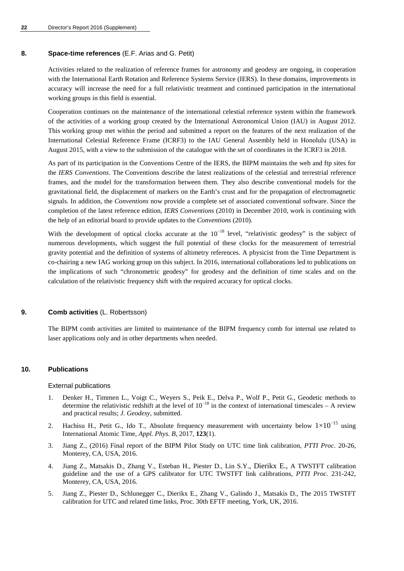# **8. Space-time references** (E.F. Arias and G. Petit)

Activities related to the realization of reference frames for astronomy and geodesy are ongoing, in cooperation with the International Earth Rotation and Reference Systems Service (IERS). In these domains, improvements in accuracy will increase the need for a full relativistic treatment and continued participation in the international working groups in this field is essential.

Cooperation continues on the maintenance of the international celestial reference system within the framework of the activities of a working group created by the International Astronomical Union (IAU) in August 2012. This working group met within the period and submitted a report on the features of the next realization of the International Celestial Reference Frame (ICRF3) to the IAU General Assembly held in Honolulu (USA) in August 2015, with a view to the submission of the catalogue with the set of coordinates in the ICRF3 in 2018.

As part of its participation in the Conventions Centre of the IERS, the BIPM maintains the web and ftp sites for the *IERS Conventions*. The [Conventions descri](http://tai.bipm.org/iers/)be the latest realizations of the celestial and terrestrial reference frames, and the model for the transformation between them. They also describe conventional models for the gravitational field, the displacement of markers on the Earth's crust and for the propagation of electromagnetic signals. In addition, the *Conventions* now provide a complete set of associated conventional software. Since the completion of the latest reference edition, *IERS Conventions* (2010) in December 2010, work is continuing with the help of an editorial board to provide updates to the *Conventions* (2010).

With the development of optical cloc[ks accurate at the 10](http://tai.bipm.org/iers/convupdt)<sup>-18</sup> level, "relativistic geodesy" is the subject of numerous developments, which suggest the full potential of these clocks for the measurement of terrestrial gravity potential and the definition of systems of altimetry references. A physicist from the Time Department is co-chairing a new IAG working group on this subject. In 2016, international collaborations led to publications on the implications of such "chronometric geodesy" for geodesy and the definition of time scales and on the calculation of the relativistic frequency shift with the required accuracy for optical clocks.

# **9. Comb activities** (L. Robertsson)

The BIPM comb activities are limited to maintenance of the BIPM frequency comb for internal use related to laser applications only and in other departments when needed.

#### **10. Publications**

#### External publications

- 1. Denker H., Timmen L., Voigt C., Weyers S., Peik E., Delva P., Wolf P., Petit G., Geodetic methods to determine the relativistic redshift at the level of  $10^{-18}$  in the context of international timescales – A review and practical results; *J. Geodesy*, submitted.
- 2. Hachisu H., Petit G., Ido T., Absolute frequency measurement with uncertainty below  $1 \times 10^{-15}$  using International Atomic Time, *Appl. Phys. B*, 2017, **123**(1).
- 3. Jiang Z., (2016) Final report of the BIPM Pilot Study on UTC time link calibration, *PTTI Proc.* 20-26, Monterey, CA, USA, 2016.
- 4. Jiang Z., Matsakis D., Zhang V., Esteban H., Piester D., Lin S.Y., Dierikx E., A TWSTFT calibration guideline and the use of a GPS calibrator for UTC TWSTFT link calibrations, *PTTI Proc.* 231-242, Monterey, CA, USA, 2016.
- 5. Jiang Z., Piester D., Schlunegger C., Dierikx E., Zhang V., Galindo J., Matsakis D., The 2015 TWSTFT calibration for UTC and related time links, Proc. 30th EFTF meeting, York, UK, 2016.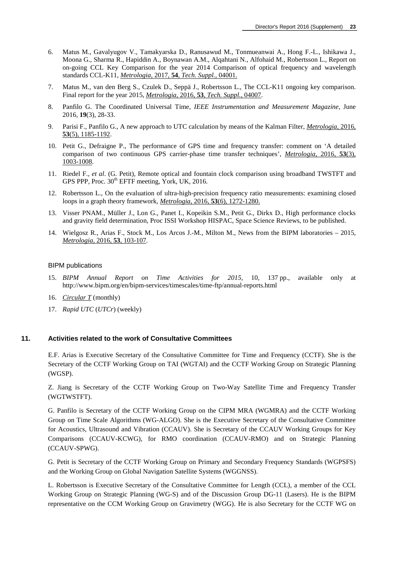- 6. Matus M., Gavalyugov V., Tamakyarska D., Ranusawud M., Tonmueanwai A., Hong F.-L., Ishikawa J., Moona G., Sharma R., Hapiddin A., Boynawan A.M., Alqahtani N., Alfohaid M., Robertsson L., Report on on-going CCL Key Comparison for the year 2014 Comparison of optical frequency and wavelength standards CCL-K11, *Metrologia,* 2017, **54**, *[Tech. Suppl.,](http://stacks.iop.org/0026-1394/54/04001)* 04001.
- 7. Matus M., van den Berg S., Czulek D., Seppä J., Robertsson L., The CCL-K11 ongoing key comparison. Final report for the year 2015, *Metrologia,* 2016, **53**, *[Tech. Suppl.,](http://stacks.iop.org/0026-1394/53/04007)* 04007.
- 8. Panfilo G. The Coordinated Universal Time, *IEEE Instrumentation and Measurement Magazine*, June 2016, **19**(3), 28-33.
- 9. Parisi F., Panfilo G., A new approach to UTC calculation by means of the Kalman Filter, *[Metrologia](http://stacks.iop.org/0026-1394/53/1185)*, 2016, **53**[\(5\), 1185-1192.](http://stacks.iop.org/0026-1394/53/1185)
- 10. Petit G., Defraigne P., The performance of GPS time and frequency transfer: comment on 'A detailed comparison of two continuous GPS carrier-phase time transfer techniques', *[Metrologia](http://stacks.iop.org/0026-1394/53/1003)*, 2016, **53**(3), [1003-1008.](http://stacks.iop.org/0026-1394/53/1003)
- 11. Riedel F., *et al*. (G. Petit), Remote optical and fountain clock comparison using broadband TWSTFT and GPS PPP, Proc.  $30<sup>th</sup>$  EFTF meeting, York, UK, 2016.
- 12. Robertsson L., On the evaluation of ultra-high-precision frequency ratio measurements: examining closed loops in a graph theory framework, *Metrologia,* 2016, **53**[\(6\), 1272-1280.](http://stacks.iop.org/0026-1394/53/1272)
- 13. Visser PNAM., Müller J., Lon G., Panet I., Kopeikin S.M., Petit G., Dirkx D., High performance clocks and gravity field determination, Proc ISSI Workshop HISPAC, Space Science Reviews, to be published.
- 14. Wielgosz R., Arias F., Stock M., Los Arcos J.-M., Milton M., News from the BIPM laboratories 2015, *[Metrologia,](http://stacks.iop.org/0026-1394/53/103)* 2016, **53**, 103-107*.*

#### BIPM publications

- 15. *BIPM Annual Report on Time Activities for 2015*, 10, 137 pp., available only at http://www.bipm.org/en/bipm-services/timescales/time-ftp/annual-reports.html
- 16. *[Circular T](http://www.bipm.org/jsp/en/TimeFtp.jsp?TypePub=publication)* (monthly)
- 17. *Rapid UTC* (*UTCr*) (weekly)

# **11. Activities related to the work of Consultative Committees**

E.F. Arias is Executive Secretary of the Consultative Committee for Time and Frequency (CCTF). She is the Secretary of the CCTF Working Group on TAI (WGTAI) and the CCTF Working Group on Strategic Planning (WGSP).

Z. Jiang is Secretary of the CCTF Working Group on Two-Way Satellite Time and Frequency Transfer (WGTWSTFT).

G. Panfilo is Secretary of the CCTF Working Group on the CIPM MRA (WGMRA) and the CCTF Working Group on Time Scale Algorithms (WG-ALGO). She is the Executive Secretary of the Consultative Committee for Acoustics, Ultrasound and Vibration (CCAUV). She is Secretary of the CCAUV Working Groups for Key Comparisons (CCAUV-KCWG), for RMO coordination (CCAUV-RMO) and on Strategic Planning (CCAUV-SPWG).

G. Petit is Secretary of the CCTF Working Group on Primary and Secondary Frequency Standards (WGPSFS) and the Working Group on Global Navigation Satellite Systems (WGGNSS).

L. Robertsson is Executive Secretary of the Consultative Committee for Length (CCL), a member of the CCL Working Group on Strategic Planning (WG-S) and of the Discussion Group DG-11 (Lasers). He is the BIPM representative on the CCM Working Group on Gravimetry (WGG). He is also Secretary for the CCTF WG on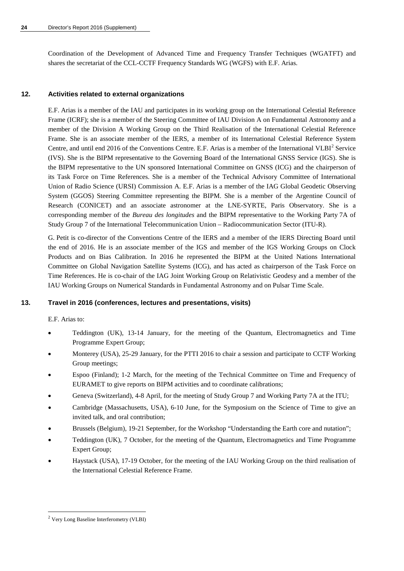Coordination of the Development of Advanced Time and Frequency Transfer Techniques (WGATFT) and shares the secretariat of the CCL-CCTF Frequency Standards WG (WGFS) with E.F. Arias.

# **12. Activities related to external organizations**

E.F. Arias is a member of the IAU and participates in its working group on the International Celestial Reference Frame (ICRF); she is a member of the Steering Committee of IAU Division A on Fundamental Astronomy and a member of the Division A Working Group on the Third Realisation of the International Celestial Reference Frame. She is an associate member of the IERS, a member of its International Celestial Reference System Centre, and until end [2](#page-24-0)016 of the Conventions Centre. E.F. Arias is a member of the International  $VLBI<sup>2</sup>$  Service (IVS). She is the BIPM representative to the Governing Board of the International GNSS Service (IGS). She is the BIPM representative to the UN sponsored International Committee on GNSS (ICG) and the chairperson of its Task Force on Time References. She is a member of the Technical Advisory Committee of International Union of Radio Science (URSI) Commission A. E.F. Arias is a member of the IAG Global Geodetic Observing System (GGOS) Steering Committee representing the BIPM. She is a member of the Argentine Council of Research (CONICET) and an associate astronomer at the LNE-SYRTE, Paris Observatory. She is a corresponding member of the *Bureau des longitudes* and the BIPM representative to the Working Party 7A of Study Group 7 of the International Telecommunication Union – Radiocommunication Sector (ITU-R).

G. Petit is co-director of the Conventions Centre of the IERS and a member of the IERS Directing Board until the end of 2016. He is an associate member of the IGS and member of the IGS Working Groups on Clock Products and on Bias Calibration. In 2016 he represented the BIPM at the United Nations International Committee on Global Navigation Satellite Systems (ICG), and has acted as chairperson of the Task Force on Time References. He is co-chair of the IAG Joint Working Group on Relativistic Geodesy and a member of the IAU Working Groups on Numerical Standards in Fundamental Astronomy and on Pulsar Time Scale.

#### **13. Travel in 2016 (conferences, lectures and presentations, visits)**

E.F. Arias to:

- Teddington (UK), 13-14 January, for the meeting of the Quantum, Electromagnetics and Time Programme Expert Group;
- Monterey (USA), 25-29 January, for the PTTI 2016 to chair a session and participate to CCTF Working Group meetings;
- Espoo (Finland); 1-2 March, for the meeting of the Technical Committee on Time and Frequency of EURAMET to give reports on BIPM activities and to coordinate calibrations;
- Geneva (Switzerland), 4-8 April, for the meeting of Study Group 7 and Working Party 7A at the ITU;
- Cambridge (Massachusetts, USA), 6-10 June, for the Symposium on the Science of Time to give an invited talk, and oral contribution;
- Brussels (Belgium), 19-21 September, for the Workshop "Understanding the Earth core and nutation";
- Teddington (UK), 7 October, for the meeting of the Quantum, Electromagnetics and Time Programme Expert Group;
- Haystack (USA), 17-19 October, for the meeting of the IAU Working Group on the third realisation of the International Celestial Reference Frame.

<span id="page-24-0"></span><sup>-</sup><sup>2</sup> Very Long Baseline Interferometry (VLBI)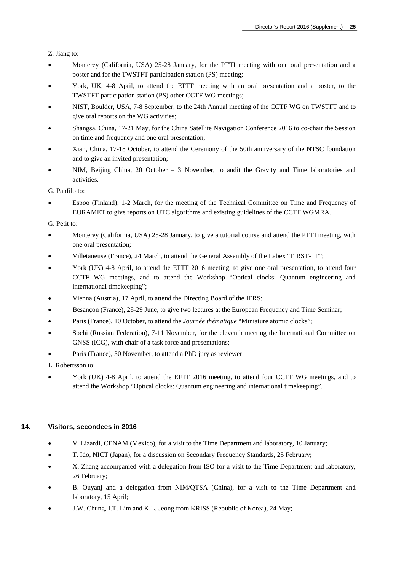Z. Jiang to:

- Monterey (California, USA) 25-28 January, for the PTTI meeting with one oral presentation and a poster and for the TWSTFT participation station (PS) meeting;
- York, UK, 4-8 April, to attend the EFTF meeting with an oral presentation and a poster, to the TWSTFT participation station (PS) other CCTF WG meetings;
- NIST, Boulder, USA, 7-8 September, to the 24th Annual meeting of the CCTF WG on TWSTFT and to give oral reports on the WG activities;
- Shangsa, China, 17-21 May, for the China Satellite Navigation Conference 2016 to co-chair the Session on time and frequency and one oral presentation;
- Xian, China, 17-18 October, to attend the Ceremony of the 50th anniversary of the NTSC foundation and to give an invited presentation;
- NIM, Beijing China, 20 October 3 November, to audit the Gravity and Time laboratories and activities.

G. Panfilo to:

• Espoo (Finland); 1-2 March, for the meeting of the Technical Committee on Time and Frequency of EURAMET to give reports on UTC algorithms and existing guidelines of the CCTF WGMRA.

G. Petit to:

- Monterey (California, USA) 25-28 January, to give a tutorial course and attend the PTTI meeting, with one oral presentation;
- Villetaneuse (France), 24 March, to attend the General Assembly of the Labex "FIRST-TF";
- York (UK) 4-8 April, to attend the EFTF 2016 meeting, to give one oral presentation, to attend four CCTF WG meetings, and to attend the Workshop "Optical clocks: Quantum engineering and international timekeeping";
- Vienna (Austria), 17 April, to attend the Directing Board of the IERS;
- Besançon (France), 28-29 June, to give two lectures at the European Frequency and Time Seminar;
- Paris (France), 10 October, to attend the *Journée thématique* "Miniature atomic clocks";
- Sochi (Russian Federation), 7-11 November, for the eleventh meeting the International Committee on GNSS (ICG), with chair of a task force and presentations;
- Paris (France), 30 November, to attend a PhD jury as reviewer.

L. Robertsson to:

• York (UK) 4-8 April, to attend the EFTF 2016 meeting, to attend four CCTF WG meetings, and to attend the Workshop "Optical clocks: Quantum engineering and international timekeeping".

#### **14. Visitors, secondees in 2016**

- V. Lizardi, CENAM (Mexico), for a visit to the Time Department and laboratory, 10 January;
- T. Ido, NICT (Japan), for a discussion on Secondary Frequency Standards, 25 February;
- X. Zhang accompanied with a delegation from ISO for a visit to the Time Department and laboratory, 26 February;
- B. Ouyanj and a delegation from NIM/QTSA (China), for a visit to the Time Department and laboratory, 15 April;
- J.W. Chung, I.T. Lim and K.L. Jeong from KRISS (Republic of Korea), 24 May;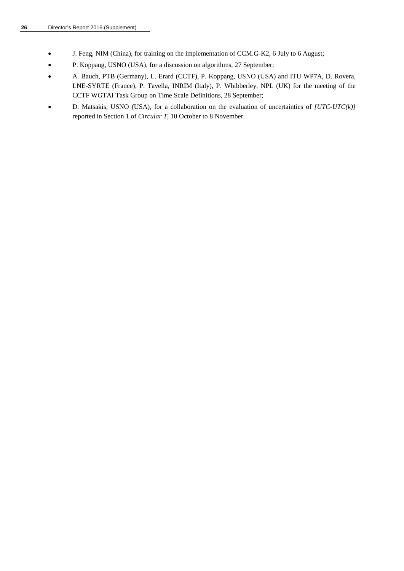- J. Feng, NIM (China), for training on the implementation of CCM.G-K2, 6 July to 6 August;
- P. Koppang, USNO (USA), for a discussion on algorithms, 27 September;
- A. Bauch, PTB (Germany), L. Erard (CCTF), P. Koppang, USNO (USA) and ITU WP7A, D. Rovera, LNE-SYRTE (France), P. Tavella, INRIM (Italy), P. Whibberley, NPL (UK) for the meeting of the CCTF WGTAI Task Group on Time Scale Definitions, 28 September;
- D. Matsakis, USNO (USA), for a collaboration on the evaluation of uncertainties of *[UTC-UTC(k)]* reported in Section 1 of *Circular T,* 10 October to 8 November.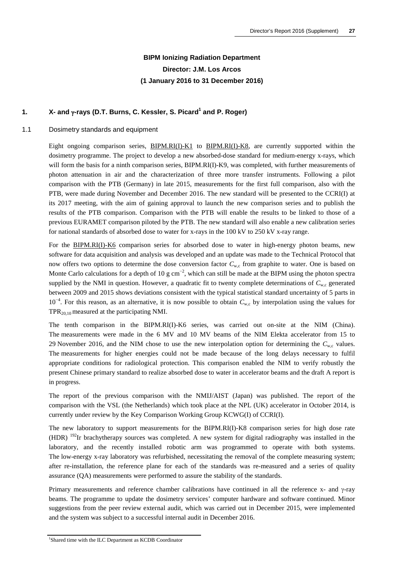# **BIPM Ionizing Radiation Department Director: J.M. Los Arcos (1 January 2016 to 31 December 2016)**

# **1. X- and** γ**-rays (D.T. Burns, C. Kessler, S. Picard<sup>1</sup> and P. Roger)**

# 1.1 Dosimetry standards and equipm[ent](http://kcdb.bipm.org/appendixB/KCDB_ApB_info.asp?cmp_idy=371&cmp_cod=BIPM.RI(I)-K1&prov=exalead)

Eight ongoing comparison series, BIPM.RI(I)-K1 to BIPM.RI(I)-K8, are currently supported within the dosimetry programme. The project to develop a new absorbed-dose standard for medium-energy x-rays, which will form the basis for a ninth comparison series, BIPM.RI(I)-K9, was completed, with further measurements of photon attenuation in air and the characterization of three more transfer instruments. Following a pilot comparison with the PTB (Germany) in late 2015, measurements for the first full comparison, also with the PTB, were made during November and December 2016. The new standard will be presented to the CCRI(I) at its 2017 meeting, with the aim of gaining approval to launch the new comparison series and to publish the results of the PTB comparison. Comparison with the PTB will enable the results to be linked to those of a previous EURAMET comparison piloted by the PTB. The new standard will also enable a new calibration series for nati[onal standards of a](http://kcdb.bipm.org/appendixB/KCDB_ApB_info.asp?cmp_idy=958&cmp_cod=BIPM.RI(I)-K6&prov=exalead)bsorbed dose to water for x-rays in the 100 kV to 250 kV x-ray range.

For the BIPM.RI(I)-K6 comparison series for absorbed dose to water in high-energy photon beams, new software for data acquisition and analysis was developed and an update was made to the Technical Protocol that now offers two options to determine the dose conversion factor  $C_{w,c}$  from graphite to water. One is based on Monte Carlo calculations for a depth of 10 g cm<sup>-2</sup>, which can still be made at the BIPM using the photon spectra supplied by the NMI in question. However, a quadratic fit to twenty complete determinations of  $C_{w}$  generated between 2009 and 2015 shows deviations consistent with the typical statistical standard uncertainty of 5 parts in 10<sup>−</sup><sup>4</sup> . For this reason, as an alternative, it is now possible to obtain *C*w,c by interpolation using the values for  $TPR_{20,10}$  measured at the participating NMI.

The tenth comparison in the BIPM.RI(I)-K6 series, was carried out on-site at the NIM (China). The measurements were made in the 6 MV and 10 MV beams of the NIM Elekta accelerator from 15 to 29 November 2016, and the NIM chose to use the new interpolation option for determining the  $C_{w}$  values. The measurements for higher energies could not be made because of the long delays necessary to fulfil appropriate conditions for radiological protection. This comparison enabled the NIM to verify robustly the present Chinese primary standard to realize absorbed dose to water in accelerator beams and the draft A report is in progress.

The report of the previous comparison with the NMIJ/AIST (Japan) was published. The report of the comparison with the VSL (the Netherlands) which took place at the NPL (UK) accelerator in October 2014, is currently under review by the Key Comparison Working Group KCWG(I) of CCRI(I).

The new laboratory to support measurements for the BIPM.RI(I)-K8 comparison series for high dose rate (HDR) 192Ir brachytherapy sources was completed. A new system for digital radiography was installed in the laboratory, and the recently installed robotic arm was programmed to operate with both systems. The low-energy x-ray laboratory was refurbished, necessitating the removal of the complete measuring system; after re-installation, the reference plane for each of the standards was re-measured and a series of quality assurance (QA) measurements were performed to assure the stability of the standards.

Primary measurements and reference chamber calibrations have continued in all the reference x- and γ-ray beams. The programme to update the dosimetry services' computer hardware and software continued. Minor suggestions from the peer review external audit, which was carried out in December 2015, were implemented and the system was subject to a successful internal audit in December 2016.

1 Shared time with the ILC Department as KCDB Coordinator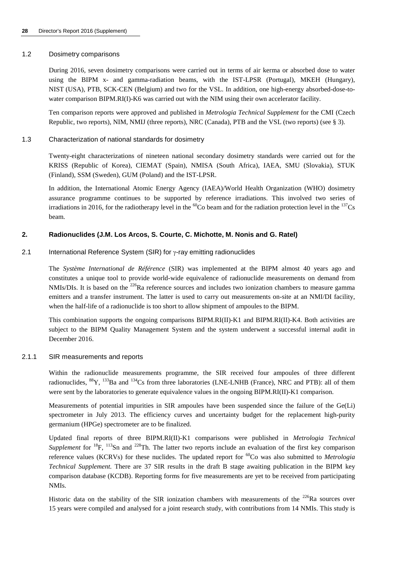#### 1.2 Dosimetry comparisons

During 2016, seven dosimetry comparisons were carried out in terms of air kerma or absorbed dose to water using the BIPM x- and gamma-radiation beams, with the IST-LPSR (Portugal), MKEH (Hungary), NIST (USA), PTB, SCK-CEN (Belgium) and two for the VSL. In addition, one high-energy absorbed-dose-towater comparison BIPM.RI(I)-K6 was carried out with the NIM using their own accelerator facility.

Ten comparison reports were approved and published in *Metrologia Technical Supplement* for the CMI (Czech Republic, two reports), NIM, NMIJ (three reports), NRC (Canada), PTB and the VSL (two reports) (see § 3).

#### 1.3 Characterization of national standards for dosimetry

Twenty-eight characterizations of nineteen national secondary dosimetry standards were carried out for the KRISS (Republic of Korea), CIEMAT (Spain), NMISA (South Africa), IAEA, SMU (Slovakia), STUK (Finland), SSM (Sweden), GUM (Poland) and the IST-LPSR.

In addition, the International Atomic Energy Agency (IAEA)/World Health Organization (WHO) dosimetry assurance programme continues to be supported by reference irradiations. This involved two series of irradiations in 2016, for the radiotherapy level in the  ${}^{60}Co$  beam and for the radiation protection level in the  ${}^{137}Cs$ beam.

# **2. Radionuclides (J.M. Los Arcos, S. Courte, C. Michotte, M. Nonis and G. Ratel)**

#### 2.1 International Reference System (SIR) for  $\gamma$ -ray emitting radionuclides

The *Système International de Référence* (SIR) was implemented at the BIPM almost 40 years ago and constitutes a unique tool to provide world-wide equivalence of radionuclide measurements on demand from NMIs/DIs. It is based on the <sup>226</sup>Ra reference sources and includes two ionization chambers to measure gamma emitters and a transfer instrument. The latter is used to carry out measurements on-site at an NMI/DI facility, when the half-life of a radionuclide is too short to allow shipment of ampoules to the BIPM.

This combination supports the ongoing comparisons BIPM.RI(II)-K1 and BIPM.RI(II)-K4. Both activities are subject to the BIPM Quality Management System and the system underwent a successful internal audit in December 2016.

# 2.1.1 SIR measurements and reports

Within the radionuclide measurements programme, the SIR received four ampoules of three different radionuclides, <sup>88</sup>Y, <sup>133</sup>Ba and <sup>134</sup>Cs from three laboratories (LNE-LNHB (France), NRC and PTB): all of them were sent by the laboratories to generate equivalence values in the ongoing BIPM.RI(II)-K1 comparison.

Measurements of potential impurities in SIR ampoules have been suspended since the failure of the Ge(Li) spectrometer in July 2013. The efficiency curves and uncertainty budget for the replacement high-purity germanium (HPGe) spectrometer are to be finalized.

Updated final reports of three BIPM.RI(II)-K1 comparisons were published in *Metrologia Technical Supplement* for <sup>18</sup>F, <sup>113</sup>Sn and <sup>228</sup>Th. The latter two reports include an evaluation of the first key comparison reference values (KCRVs) for these nuclides. The updated report for 60Co was also submitted to *Metrologia Technical Supplement.* There are 37 SIR results in the draft B stage awaiting publication in the BIPM key comparison database (KCDB). Reporting forms for five measurements are yet to be received from participating NMIs.

Historic data on the stability of the SIR ionization chambers with measurements of the  $^{226}$ Ra sources over 15 years were compiled and analysed for a joint research study, with contributions from 14 NMIs. This study is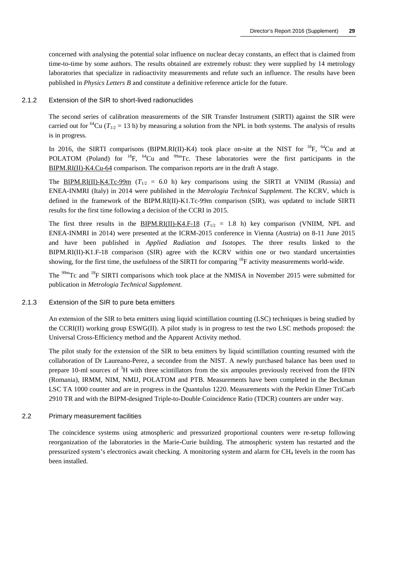concerned with analysing the potential solar influence on nuclear decay constants, an effect that is claimed from time-to-time by some authors. The results obtained are extremely robust: they were supplied by 14 metrology laboratories that specialize in radioactivity measurements and refute such an influence. The results have been published in *Physics Letters B* and constitute a definitive reference article for the future.

#### 2.1.2 Extension of the SIR to short-lived radionuclides

The second series of calibration measurements of the SIR Transfer Instrument (SIRTI) against the SIR were carried out for <sup>64</sup>Cu ( $T_{1/2}$  = 13 h) by measuring a solution from the NPL in both systems. The analysis of results is in progress.

In 2016, the SIRTI comparisons (BIPM.RI(II)-K4) took place on-site at the NIST for <sup>18</sup>F, <sup>64</sup>Cu and at [POLATOM \(Poland\)](http://kcdb.bipm.org/appendixB/KCDB_ApB_info.asp?cmp_idy=1520&cmp_cod=BIPM.RI(II)-K4.Cu-64&prov=exalead) for  ${}^{18}F$ ,  ${}^{64}Cu$  and  ${}^{99m}Te$ . These laboratories were the first participants in the BIP[M.RI\(II\)-K4.Cu-64](http://kcdb.bipm.org/appendixB/KCDB_ApB_info.asp?cmp_idy=869&cmp_cod=BIPM.RI(II)-K4.Tc-99m&prov=exalead) comparison. The comparison reports are in the draft A stage.

The BIPM.RI(II)-K4.Tc-99m ( $T_{1/2}$  = 6.0 h) key comparisons using the SIRTI at VNIIM (Russia) and ENEA-INMRI (Italy) in 2014 were published in the *Metrologia Technical Supplement.* The KCRV, which is defined in the framework of the BIPM.RI(II)-K1.Tc-99m comparison (SIR), was updated to include SIRTI results for the first time followin[g a decision of the CCR](http://kcdb.bipm.org/appendixB/KCDB_ApB_info.asp?cmp_idy=1422&cmp_cod=BIPM.RI%28II%29-K4.F-18&prov=exalead)I in 2015.

The first three results in the **BIPM.RI(II)-K4.F-18** ( $T_{1/2}$  = 1.8 h) key comparison (VNIIM, NPL and ENEA-INMRI in 2014) were presented at the ICRM-2015 conference in Vienna (Austria) on 8-11 June 2015 and have been published in *Applied Radiation and Isotopes.* The three results linked to the BIPM.RI(II)-K1.F-18 comparison (SIR) agree with the KCRV within one or two standard uncertainties showing, for the first time, the usefulness of the SIRTI for comparing <sup>18</sup>F activity measurements world-wide.

The <sup>99m</sup>Tc and <sup>18</sup>F SIRTI comparisons which took place at the NMISA in November 2015 were submitted for publication in *Metrologia Technical Supplement.*

#### 2.1.3 Extension of the SIR to pure beta emitters

An extension of the SIR to beta emitters using liquid scintillation counting (LSC) techniques is being studied by the CCRI(II) working group ESWG(II). A pilot study is in progress to test the two LSC methods proposed: the Universal Cross-Efficiency method and the Apparent Activity method.

The pilot study for the extension of the SIR to beta emitters by liquid scintillation counting resumed with the collaboration of Dr Laureano-Perez, a secondee from the NIST. A newly purchased balance has been used to prepare 10-ml sources of <sup>3</sup>H with three scintillators from the six ampoules previously received from the IFIN (Romania), IRMM, NIM, NMIJ, POLATOM and PTB. Measurements have been completed in the Beckman LSC TA 1000 counter and are in progress in the Quantulus 1220. Measurements with the Perkin Elmer TriCarb 2910 TR and with the BIPM-designed Triple-to-Double Coincidence Ratio (TDCR) counters are under way.

#### 2.2 Primary measurement facilities

The coincidence systems using atmospheric and pressurized proportional counters were re-setup following reorganization of the laboratories in the Marie-Curie building. The atmospheric system has restarted and the pressurized system's electronics await checking. A monitoring system and alarm for CH4 levels in the room has been installed.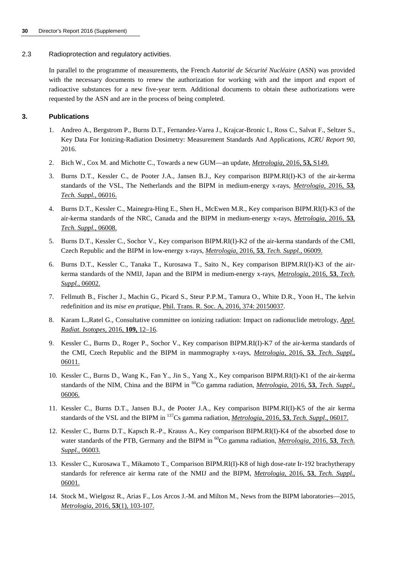#### 2.3 Radioprotection and regulatory activities.

In parallel to the programme of measurements, the French *Autorité de Sécurité Nucléaire* (ASN) was provided with the necessary documents to renew the authorization for working with and the import and export of radioactive substances for a new five-year term. Additional documents to obtain these authorizations were requested by the ASN and are in the process of being completed.

## **3. Publications**

- 1. Andreo A., Bergstrom P., Burns D.T., Fernandez-Varea J., Krajcar-[Bronic I., Ross C., Salvat](http://iopscience.iop.org/article/10.1088/0026-1394/53/5/S149) F., Seltzer S., Key Data For Ionizing-Radiation Dosimetry: Measurement Standards And Applications, *ICRU Report 90*, 2016.
- 2. [Bich W., Cox](http://iopscience.iop.org/article/10.1088/0026-1394/53/1A/06016) M. and Michotte C., Towards a new GUM—an update, *Metrologia*, 2016, **53,** S149.
- 3. Burns D.T., Kessler C., de Pooter J.A., Jansen B.J., Key comparison BIPM.RI(I)-K3 of the air-kerma standards of the VSL, The Netherlands and the BIPM in medium-energy x-rays, *[Metrologia](http://iopscience.iop.org/article/10.1088/0026-1394/53/1A/06008)*, 2016, **53**, *[Tech. Suppl.](http://iopscience.iop.org/article/10.1088/0026-1394/53/1A/06008)*, 06016.
- 4. Burns D.T., Kessler C., Mainegra-Hing E., Shen H., McEwen M.R., Key comparison BIPM.RI(I)-K3 of the air-kerma standards of the NRC, Canada and the [BIPM in medium-energy x-rays,](http://iopscience.iop.org/article/10.1088/0026-1394/53/1A/06009) *Metrologia*, 2016, **53**, *Tech. Suppl.,* 06008.
- 5. Burns D.T., Kessler C., Sochor V., Key comparison BIPM.RI(I)-K2 of [the air-kerma standards of the CMI,](http://iopscience.iop.org/article/10.1088/0026-1394/53/1A/06002)  [Czech](http://iopscience.iop.org/article/10.1088/0026-1394/53/1A/06002) Republic and the BIPM in low-energy x-rays, *Metrologia*, 2016, **53**, *Tech. Suppl.*, 06009.
- 6. Burns D.T., Kessler C., Tanaka T., Kurosawa T., Saito N., Key comparison BIPM.RI(I)-K3 of the airkerma standards of the NMIJ, Japa[n and the BIPM in medium-energy x-rays,](http://dx.doi.org/10.1098/rsta.2015.0037) *Metrologia*, 2016, **53**, *Tech. Suppl.*, 06002.
- 7. [Fellmuth B., Fischer J., Machin G.](http://www.journals.elsevier.com/applied-radiation-and-isotopes), Picard S., Steur P.P.M., Tamura O., White D.R., Yoon H., The kelvin redefinition and its *mise en pratique*, Phil. Trans. R. Soc. A, 2016, 374: 20150037.
- 8. Karam L.,Ratel G., Consultative committee on ionizing radiation: Im[pact on radionuclide metrology,](http://iopscience.iop.org/article/10.1088/0026-1394/53/1A/06011) *Appl. [Radiat](http://iopscience.iop.org/article/10.1088/0026-1394/53/1A/06011). Isotopes*, 2016, **109,** 12–16.
- 9. Kessler C., Burns D., Roger P., Sochor V., Key comparison BIPM.RI(I)-K7 of the air-kerma standards of the CMI, Czech Republic and the BIPM in mammography x-rays, *Metrologia*, 2016, **53**, *[Tech. Suppl.](http://iopscience.iop.org/article/10.1088/0026-1394/53/1A/06006)*, [06011.](http://iopscience.iop.org/article/10.1088/0026-1394/53/1A/06006)
- 10. Kessler C., Burns D., Wang K., Fan Y., Jin S., Yang X., Key comparison BIPM.RI(I)-K1 of the air-kerma standards of the NIM, China and the BIPM in 60Co gamma radiation, *[Metrologia](http://iopscience.iop.org/article/10.1088/0026-1394/53/1A/06017)*, 2016, **53**, *Tech. Suppl.*, 06006.
- 11. Kessler C., Burns D.T., Jansen B.J., de Pooter J.A., Key comparison BIP[M.RI\(I\)-K5 of the air kerma](http://iopscience.iop.org/article/10.1088/0026-1394/53/1A/06003)  [standards of th](http://iopscience.iop.org/article/10.1088/0026-1394/53/1A/06003)e VSL and the BIPM in 137Cs gamma radiation, *Metrologia*, 2016, **53**, *Tech. Suppl.*, 06017.
- 12. Kessler C., Burns D.T., Kapsch R.-P., Krauss A., Key comparison BIPM.RI(I)-K4 of the absorbed dose to water standards of the PTB, Germany and the BIPM in <sup>60</sup>Co gamma radiation, *[Metrologia](http://iopscience.iop.org/article/10.1088/0026-1394/53/1A/06001)*, 2016, **53**, *Tech. [Suppl.](http://iopscience.iop.org/article/10.1088/0026-1394/53/1A/06001)*, 06003.
- 13. Kessler C., Kurosawa T., Mikamoto T., Comparison BIPM.RI(I)-K8 of high dose-rate Ir-192 brachytherapy [standards fo](http://iopscience.iop.org/journal/0026-1394)r reference air kerma rate of the NMIJ and the BIPM, *Metrologia*, 2016, **53**, *Tech. Suppl.*, 06001.
- 14. Stock M., Wielgosz R., Arias F., Los Arcos J.-M. and Milton M., News from the BIPM laboratories—2015, *Metrologia*, 2016, **53**(1), 103-107.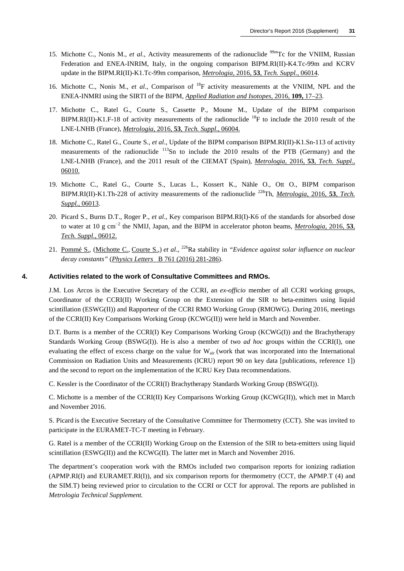- 15. Michotte C., Nonis M., *et al.*, Activity measurements of the radionuclide <sup>99m</sup>Tc for the VNIIM, Russian Federation and ENE[A-INRIM, Italy, in the ongoing comparis](http://stacks.iop.org/0026-1394/53/06004)on BIPM.RI(II)-K4.Tc-99m and KCRV update in the BIPM.RI(II)-K1.Tc-99m comparison, *Metrologia,* 2016, **53**, *Tech. Suppl.,* 06014.
- 16. Michotte C., Nonis M., *et al*., Comparison of 18F activity measurements at the VNIIM, NPL and the ENEA-INMRI using the SIRTI of the BIPM, *Applied Radiation and Isotopes*, 2016, **109,** [17–23.](http://stacks.iop.org/0026-1394/53/06010)
- 17. [Micho](http://stacks.iop.org/0026-1394/53/06010)tte C., Ratel G., Courte S., Cassette P., Moune M., Update of the BIPM comparison BIPM.RI(II)-K1.F-18 of activity measurements of the radionuclide <sup>18</sup>F to include the 2010 result of the LNE-LNHB (France), *Metrologia,* 2016, **53**, *Tech. Suppl.,* 06004.
- 18. [Michotte C., R](http://stacks.iop.org/0026-1394/53/06013)atel G., Courte S., *et al*., Update of the BIPM comparison BIPM.RI(II)-K1.Sn-113 of activity measurements of the radionuclide <sup>113</sup>Sn to include the 2010 results of the PTB (Germany) and the LNE-LNHB (France), and the 2011 result of the CIEMAT (Spain), *Metrologia,* 2016, **53**, *[Tech. Suppl.,](http://iopscience.iop.org/article/10.1088/0026-1394/53/1A/06012)* [06010.](http://iopscience.iop.org/article/10.1088/0026-1394/53/1A/06012)
- 19. [Michotte](http://www.sciencedirect.com/science/article/pii/S0370269316304580) [C., Ratel](http://www.sciencedirect.com/science/article/pii/S0370269316304580) G.[, Courte](http://www.sciencedirect.com/science/article/pii/S0370269316304580) S., Lucas L., Kossert K., Nähle O., Ott O., BIPM comparison BIPM.RI(II)-K1.[Th-228 of activity measurements of the](http://www.sciencedirect.com/science/article/pii/S0370269316304580) radionuclide <sup>228</sup>Th, *Metrologia*, 2016, **53**, *Tech. Suppl.,* 06013.
- 20. Picard S., Burns D.T., Roger P., *et al*., Key comparison BIPM.RI(I)-K6 of the standards for absorbed dose to water at 10 g cm<sup>−</sup><sup>2</sup> the NMIJ, Japan, and the BIPM in accelerator photon beams, *Metrologia*, 2016, **53**, *Tech. Suppl*., 06012.
- 21. Pommé S., (Michotte C., Courte S.,) *et al*., 226Ra stability in *"Evidence against solar influence on nuclear decay constants"* (*Physics Letters* B 761 (2016) 281-286).

#### **4. Activities related to the work of Consultative Committees and RMOs.**

J.M. Los Arcos is the Executive Secretary of the CCRI, an *ex-officio* member of all CCRI working groups, Coordinator of the CCRI(II) Working Group on the Extension of the SIR to beta-emitters using liquid scintillation (ESWG(II)) and Rapporteur of the CCRI RMO Working Group (RMOWG). During 2016, meetings of the CCRI(II) Key Comparisons Working Group (KCWG(II)) were held in March and November.

D.T. Burns is a member of the CCRI(I) Key Comparisons Working Group (KCWG(I)) and the Brachytherapy Standards Working Group (BSWG(I)). He is also a member of two *ad hoc* groups within the CCRI(I), one evaluating the effect of excess charge on the value for W<sub>air</sub> (work that was incorporated into the International Commission on Radiation Units and Measurements (ICRU) report 90 on key data [publications, reference 1]) and the second to report on the implementation of the ICRU Key Data recommendations.

C. Kessler is the Coordinator of the CCRI(I) Brachytherapy Standards Working Group (BSWG(I)).

C. Michotte is a member of the CCRI(II) Key Comparisons Working Group (KCWG(II)), which met in March and November 2016.

S. Picard is the Executive Secretary of the Consultative Committee for Thermometry (CCT). She was invited to participate in the EURAMET-TC-T meeting in February.

G. Ratel is a member of the CCRI(II) Working Group on the Extension of the SIR to beta-emitters using liquid scintillation (ESWG(II)) and the KCWG(II). The latter met in March and November 2016.

The department's cooperation work with the RMOs included two comparison reports for ionizing radiation (APMP.RI(I) and EURAMET.RI(I)), and six comparison reports for thermometry (CCT, the APMP.T (4) and the SIM.T) being reviewed prior to circulation to the CCRI or CCT for approval. The reports are published in *Metrologia Technical Supplement.*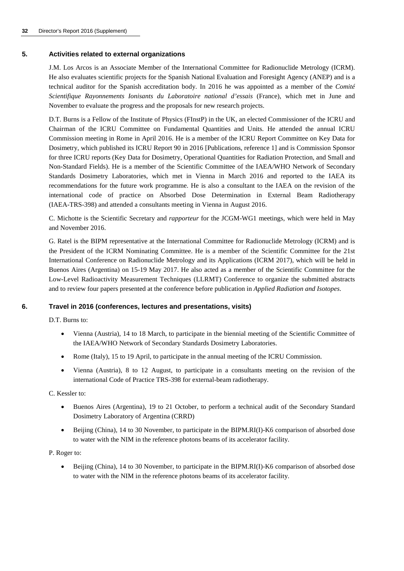## **5. Activities related to external organizations**

J.M. Los Arcos is an Associate Member of the International Committee for Radionuclide Metrology (ICRM). He also evaluates scientific projects for the Spanish National Evaluation and Foresight Agency (ANEP) and is a technical auditor for the Spanish accreditation body. In 2016 he was appointed as a member of the *Comité Scientifique Rayonnements Ionisants du Laboratoire national d'essais* (France), which met in June and November to evaluate the progress and the proposals for new research projects.

D.T. Burns is a Fellow of the Institute of Physics (FInstP) in the UK, an elected Commissioner of the ICRU and Chairman of the ICRU Committee on Fundamental Quantities and Units. He attended the annual ICRU Commission meeting in Rome in April 2016. He is a member of the ICRU Report Committee on Key Data for Dosimetry, which published its ICRU Report 90 in 2016 [Publications, reference 1] and is Commission Sponsor for three ICRU reports (Key Data for Dosimetry, Operational Quantities for Radiation Protection, and Small and Non-Standard Fields). He is a member of the Scientific Committee of the IAEA/WHO Network of Secondary Standards Dosimetry Laboratories, which met in Vienna in March 2016 and reported to the IAEA its recommendations for the future work programme. He is also a consultant to the IAEA on the revision of the international code of practice on Absorbed Dose Determination in External Beam Radiotherapy (IAEA-TRS-398) and attended a consultants meeting in Vienna in August 2016.

C. Michotte is the Scientific Secretary and *rapporteur* for the JCGM-WG1 meetings, which were held in May and November 2016.

G. Ratel is the BIPM representative at the International Committee for Radionuclide Metrology (ICRM) and is the President of the ICRM Nominating Committee. He is a member of the Scientific Committee for the 21st International Conference on Radionuclide Metrology and its Applications (ICRM 2017), which will be held in Buenos Aires (Argentina) on 15-19 May 2017. He also acted as a member of the Scientific Committee for the Low-Level Radioactivity Measurement Techniques (LLRMT) Conference to organize the submitted abstracts and to review four papers presented at the conference before publication in *Applied Radiation and Isotopes*.

# **6. Travel in 2016 (conferences, lectures and presentations, visits)**

D.T. Burns to:

- Vienna (Austria), 14 to 18 March, to participate in the biennial meeting of the Scientific Committee of the IAEA/WHO Network of Secondary Standards Dosimetry Laboratories.
- Rome (Italy), 15 to 19 April, to participate in the annual meeting of the ICRU Commission.
- Vienna (Austria), 8 to 12 August, to participate in a consultants meeting on the revision of the international Code of Practice TRS-398 for external-beam radiotherapy.

C. Kessler to:

- Buenos Aires (Argentina), 19 to 21 October, to perform a technical audit of the Secondary Standard Dosimetry Laboratory of Argentina (CRRD)
- Beijing (China), 14 to 30 November, to participate in the BIPM.RI(I)-K6 comparison of absorbed dose to water with the NIM in the reference photons beams of its accelerator facility.

P. Roger to:

• Beijing (China), 14 to 30 November, to participate in the BIPM.RI(I)-K6 comparison of absorbed dose to water with the NIM in the reference photons beams of its accelerator facility.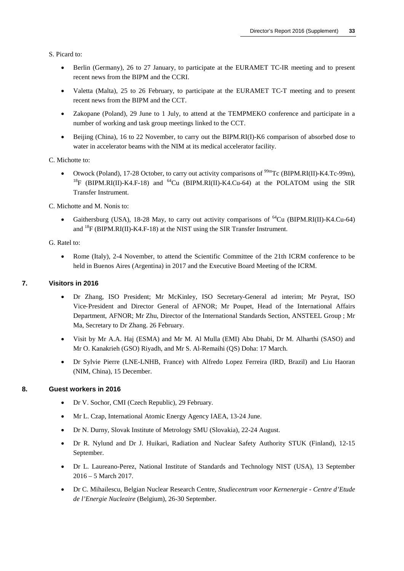S. Picard to:

- Berlin (Germany), 26 to 27 January, to participate at the EURAMET TC-IR meeting and to present recent news from the BIPM and the CCRI.
- Valetta (Malta), 25 to 26 February, to participate at the EURAMET TC-T meeting and to present recent news from the BIPM and the CCT.
- Zakopane (Poland), 29 June to 1 July, to attend at the TEMPMEKO conference and participate in a number of working and task group meetings linked to the CCT.
- Beijing (China), 16 to 22 November, to carry out the BIPM.RI(I)-K6 comparison of absorbed dose to water in accelerator beams with the NIM at its medical accelerator facility.

C. Michotte to:

Otwock (Poland), 17-28 October, to carry out activity comparisons of <sup>99m</sup>Tc (BIPM.RI(II)-K4.Tc-99m), <sup>18</sup>F (BIPM.RI(II)-K4.F-18) and <sup>64</sup>Cu (BIPM.RI(II)-K4.Cu-64) at the POLATOM using the SIR Transfer Instrument.

C. Michotte and M. Nonis to:

• Gaithersburg (USA), 18-28 May, to carry out activity comparisons of  $^{64}$ Cu (BIPM.RI(II)-K4.Cu-64) and  $^{18}F$  (BIPM.RI(II)-K4.F-18) at the NIST using the SIR Transfer Instrument.

G. Ratel to:

• Rome (Italy), 2-4 November, to attend the Scientific Committee of the 21th ICRM conference to be held in Buenos Aires (Argentina) in 2017 and the Executive Board Meeting of the ICRM.

#### **7. Visitors in 2016**

- Dr Zhang, ISO President; Mr McKinley, ISO Secretary-General ad interim; Mr Peyrat, ISO Vice-President and Director General of AFNOR; Mr Poupet, Head of the International Affairs Department, AFNOR; Mr Zhu, Director of the International Standards Section, ANSTEEL Group ; Mr Ma, Secretary to Dr Zhang. 26 February.
- Visit by Mr A.A. Haj (ESMA) and Mr M. Al Mulla (EMI) Abu Dhabi, Dr M. Alharthi (SASO) and Mr O. Kanakrieh (GSO) Riyadh, and Mr S. Al-Remaihi (QS) Doha: 17 March.
- Dr Sylvie Pierre (LNE-LNHB, France) with Alfredo Lopez Ferreira (IRD, Brazil) and Liu Haoran (NIM, China), 15 December.

# **8. Guest workers in 2016**

- Dr V. Sochor, CMI (Czech Republic), 29 February.
- Mr L. Czap, International Atomic Energy Agency IAEA, 13-24 June.
- Dr N. Durny, Slovak Institute of Metrology SMU (Slovakia), 22-24 August.
- Dr R. Nylund and Dr J. Huikari, Radiation and Nuclear Safety Authority STUK (Finland), 12-15 September.
- Dr L. Laureano-Perez, National Institute of Standards and Technology NIST (USA), 13 September 2016 – 5 March 2017.
- Dr C. Mihailescu, Belgian Nuclear Research Centre, *Studiecentrum voor Kernenergie Centre d'Etude de l'Energie Nucleaire* (Belgium), 26-30 September.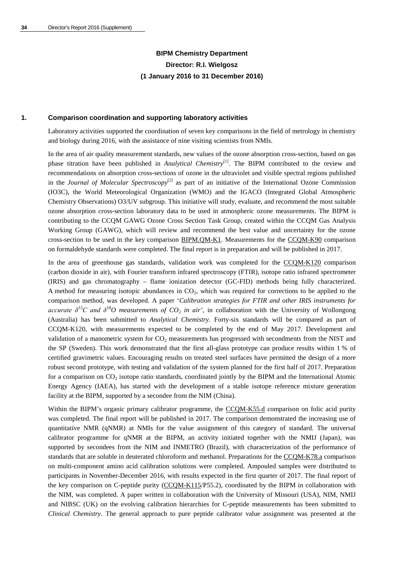# **BIPM Chemistry Department Director: R.I. Wielgosz (1 January 2016 to 31 December 2016)**

# **1. Comparison coordination and supporting laboratory activities**

Laboratory activities supported the coordination of seven key comparisons in the field of metrology in chemistry and biology during 2016, with the assistance of nine visiting scientists from NMIs.

In the area of air quality measurement standards, new values of the ozone absorption cross-section, based on gas phase titration have been published in *Analytical Chemistry*[1]. The BIPM contributed to the review and recommendations on absorption cross-sections of ozone in the ultraviolet and visible spectral regions published in the *Journal of Molecular Spectroscopy*<sup>[2]</sup> as part of an initiative of the International Ozone Commission (IO3C), the World Meteorological Organization (WMO) and the IGACO (Integrated Global Atmospheric Chemistry Observations) O3/UV subgroup. This initiative will study, evaluate, and recommend the most suitable ozone absorption cross-section laboratory data to be used in atmospheric ozone measurements. The BIPM is contributing to the CCQM GAWG Ozone Cross Section Task Group, created within the CCQM Gas Analysis Working Group (GAWG), which will review and recommend the best value and uncertainty for the ozone cross-section to be used in the key comparison [BIPM.QM-K1.](http://kcdb.bipm.org/appendixB/KCDB_ApB_info.asp?cmp_idy=733&cmp_cod=BIPM.QM-K1&prov=exalead) Measurements for the [CCQM-K90](http://kcdb.bipm.org/appendixB/KCDB_ApB_info.asp?cmp_idy=1095&cmp_cod=CCQM-K90&prov=exalead) comparison on formaldehyde standards were completed. The final report is in preparation and will be published in 2017.

In the area of greenhouse gas standards, validation work was completed for the [CCQM-K120](http://kcdb.bipm.org/appendixB/KCDB_ApB_info.asp?cmp_idy=1364&cmp_cod=CCQM-K120&prov=exalead) comparison (carbon dioxide in air), with Fourier transform infrared spectroscopy (FTIR), isotope ratio infrared spectrometer (IRIS) and gas chromatography – flame ionization detector (GC-FID) methods being fully characterized. A method for measuring isotopic abundances in  $CO<sub>2</sub>$ , which was required for corrections to be applied to the comparison method, was developed. A paper '*Calibration strategies for FTIR and other IRIS instruments for accurate*  $\delta^{13}C$  *and*  $\delta^{18}O$  *measurements of CO<sub>2</sub> in air'*, in collaboration with the University of Wollongong (Australia) has been submitted to *Analytical Chemistry*. Forty-six standards will be compared as part of CCQM-K120, with measurements expected to be completed by the end of May 2017. Development and validation of a manometric system for CO<sub>2</sub> measurements has progressed with secondments from the NIST and the SP (Sweden). This work demonstrated that the first all-glass prototype can produce results within 1 % of certified gravimetric values. Encouraging results on treated steel surfaces have permitted the design of a more robust second prototype, with testing and validation of the system planned for the first half of 2017. Preparation for a comparison on  $CO<sub>2</sub>$  isotope ratio standards, coordinated jointly by the BIPM and the International Atomic Energy Agency (IAEA), has started with the development of a stable isotope reference mixture generation facility at the BIPM, supported by a secondee from the NIM (China).

Within the BIPM's organic primary calibrator programme, the [CCQM-K55.d](http://kcdb.bipm.org/appendixB/KCDB_ApB_info.asp?cmp_idy=1359&cmp_cod=CCQM-K55.d&prov=exalead) comparison on folic acid purity was completed. The final report will be published in 2017. The comparison demonstrated the increasing use of quantitative NMR (qNMR) at NMIs for the value assignment of this category of standard. The universal calibrator programme for qNMR at the BIPM, an activity initiated together with the NMIJ (Japan), was supported by secondees from the NIM and INMETRO (Brazil), with characterization of the performance of standards that are soluble in deuterated chloroform and methanol. Preparations for the [CCQM-K78.a](http://kcdb.bipm.org/appendixB/KCDB_ApB_info.asp?cmp_idy=1074&cmp_cod=CCQM-K78.a&prov=exalead) comparison on multi-component amino acid calibration solutions were completed. Ampouled samples were distributed to participants in November-December 2016, with results expected in the first quarter of 2017. The final report of the key comparison on C-peptide purity [\(CCQM-K115/](http://kcdb.bipm.org/appendixB/KCDB_ApB_info.asp?cmp_idy=1339&cmp_cod=CCQM-K115&prov=exalead)P55.2), coordinated by the BIPM in collaboration with the NIM, was completed. A paper written in collaboration with the University of Missouri (USA), NIM, NMIJ and NIBSC (UK) on the evolving calibration hierarchies for C-peptide measurements has been submitted to *Clinical Chemistry*. The general approach to pure peptide calibrator value assignment was presented at the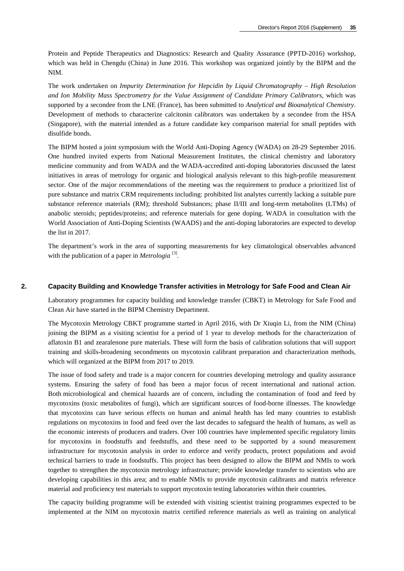Protein and Peptide Therapeutics and Diagnostics: Research and Quality Assurance (PPTD-2016) workshop, which was held in Chengdu (China) in June 2016. This workshop was organized jointly by the BIPM and the NIM.

The work undertaken on *Impurity Determination for Hepcidin by Liquid Chromatography – High Resolution and Ion Mobility Mass Spectrometry for the Value Assignment of Candidate Primary Calibrators*, which was supported by a secondee from the LNE (France), has been submitted to *Analytical and Bioanalytical Chemistry*. Development of methods to characterize calcitonin calibrators was undertaken by a secondee from the HSA (Singapore), with the material intended as a future candidate key comparison material for small peptides with disulfide bonds.

The BIPM hosted a joint symposium with the World Anti-Doping Agency (WADA) on 28-29 September 2016. One hundred invited experts from National Measurement Institutes, the clinical chemistry and laboratory medicine community and from WADA and the WADA-accredited anti-doping laboratories discussed the latest initiatives in areas of metrology for organic and biological analysis relevant to this high-profile measurement sector. One of the major recommendations of the meeting was the requirement to produce a prioritized list of pure substance and matrix CRM requirements including: prohibited list analytes currently lacking a suitable pure substance reference materials (RM); threshold Substances; phase II/III and long-term metabolites (LTMs) of anabolic steroids; peptides/proteins; and reference materials for gene doping. WADA in consultation with the World Association of Anti-Doping Scientists (WAADS) and the anti-doping laboratories are expected to develop the list in 2017.

The department's work in the area of supporting measurements for key climatological observables advanced with the publication of a paper in *Metrologia*<sup>[3]</sup>.

# **2. Capacity Building and Knowledge Transfer activities in Metrology for Safe Food and Clean Air**

Laboratory programmes for capacity building and knowledge transfer (CBKT) in Metrology for Safe Food and Clean Air have started in the BIPM Chemistry Department.

The Mycotoxin Metrology CBKT programme started in April 2016, with Dr Xiuqin Li, from the NIM (China) joining the BIPM as a visiting scientist for a period of 1 year to develop methods for the characterization of aflatoxin B1 and zearalenone pure materials. These will form the basis of calibration solutions that will support training and skills-broadening secondments on mycotoxin calibrant preparation and characterization methods, which will organized at the BIPM from 2017 to 2019.

The issue of food safety and trade is a major concern for countries developing metrology and quality assurance systems. Ensuring the safety of food has been a major focus of recent international and national action. Both microbiological and chemical hazards are of concern, including the contamination of food and feed by mycotoxins (toxic metabolites of fungi), which are significant sources of food-borne illnesses. The knowledge that mycotoxins can have serious effects on human and animal health has led many countries to establish regulations on mycotoxins in food and feed over the last decades to safeguard the health of humans, as well as the economic interests of producers and traders. Over 100 countries have implemented specific regulatory limits for mycotoxins in foodstuffs and feedstuffs, and these need to be supported by a sound measurement infrastructure for mycotoxin analysis in order to enforce and verify products, protect populations and avoid technical barriers to trade in foodstuffs. This project has been designed to allow the BIPM and NMIs to work together to strengthen the mycotoxin metrology infrastructure; provide knowledge transfer to scientists who are developing capabilities in this area; and to enable NMIs to provide mycotoxin calibrants and matrix reference material and proficiency test materials to support mycotoxin testing laboratories within their countries.

The capacity building programme will be extended with visiting scientist training programmes expected to be implemented at the NIM on mycotoxin matrix certified reference materials as well as training on analytical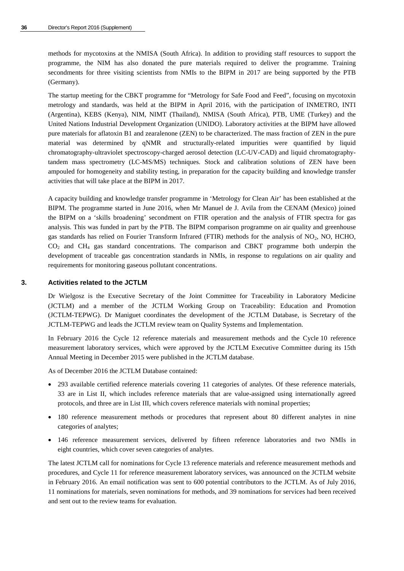methods for mycotoxins at the NMISA (South Africa). In addition to providing staff resources to support the programme, the NIM has also donated the pure materials required to deliver the programme. Training secondments for three visiting scientists from NMIs to the BIPM in 2017 are being supported by the PTB (Germany).

The startup meeting for the CBKT programme for "Metrology for Safe Food and Feed", focusing on mycotoxin metrology and standards, was held at the BIPM in April 2016, with the participation of INMETRO, INTI (Argentina), KEBS (Kenya), NIM, NIMT (Thailand), NMISA (South Africa), PTB, UME (Turkey) and the United Nations Industrial Development Organization (UNIDO). Laboratory activities at the BIPM have allowed pure materials for aflatoxin B1 and zearalenone (ZEN) to be characterized. The mass fraction of ZEN in the pure material was determined by qNMR and structurally-related impurities were quantified by liquid chromatography-ultraviolet spectroscopy-charged aerosol detection (LC-UV-CAD) and liquid chromatographytandem mass spectrometry (LC-MS/MS) techniques. Stock and calibration solutions of ZEN have been ampouled for homogeneity and stability testing, in preparation for the capacity building and knowledge transfer activities that will take place at the BIPM in 2017.

A capacity building and knowledge transfer programme in 'Metrology for Clean Air' has been established at the BIPM. The programme started in June 2016, when Mr Manuel de J. Avila from the CENAM (Mexico) joined the BIPM on a 'skills broadening' secondment on FTIR operation and the analysis of FTIR spectra for gas analysis. This was funded in part by the PTB. The BIPM comparison programme on air quality and greenhouse gas standards has relied on Fourier Transform Infrared (FTIR) methods for the analysis of NO<sub>2</sub>, NO, HCHO, CO2 and CH4 gas standard concentrations. The comparison and CBKT programme both underpin the development of traceable gas concentration standards in NMIs, in response to regulations on air quality and requirements for monitoring gaseous pollutant concentrations.

#### **3. Activities related to the JCTLM**

Dr Wielgosz is the Executive Secretary of the Joint Committee for Traceability in Laboratory Medicine (JCTLM) and a member of the JCTLM Working Group on Traceability: Education and Promotion (JCTLM-TEPWG). Dr Maniguet coordinates the development of the JCTLM Database, is Secretary of the JCTLM-TEPWG and leads the JCTLM review team on Quality Systems and Implementation.

In February 2016 the Cycle 12 reference materials and measurement methods and the Cycle 10 reference measurement laboratory services, which were approved by the JCTLM Executive Committee during its 15th Annual Meeting in December 2015 were published in the JCTLM database.

As of December 2016 the JCTLM Database contained:

- 293 available certified reference materials covering 11 categories of analytes. Of these reference materials, 33 are in List II, which includes reference materials that are value-assigned using internationally agreed protocols, and three are in List III, which covers reference materials with nominal properties;
- 180 reference measurement methods or procedures that represent about 80 different analytes in nine categories of analytes;
- 146 reference measurement services, delivered by fifteen reference laboratories and two NMIs in eight countries, which cover seven categories of analytes.

The latest JCTLM call for nominations for Cycle 13 reference materials and reference measurement methods and procedures, and Cycle 11 for reference measurement laboratory services, was announced on the JCTLM website in February 2016. An email notification was sent to 600 potential contributors to the JCTLM. As of July 2016, 11 nominations for materials, seven nominations for methods, and 39 nominations for services had been received and sent out to the review teams for evaluation.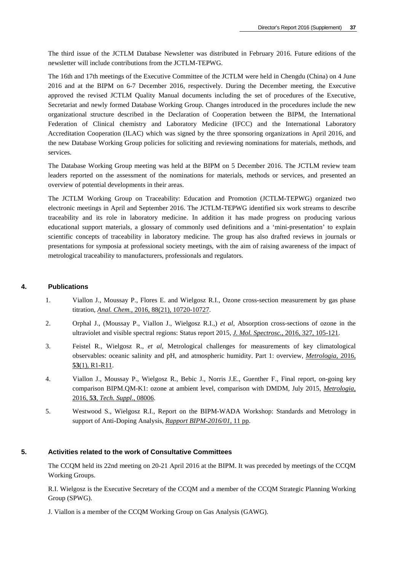The third issue of the JCTLM Database Newsletter was distributed in February 2016. Future editions of the newsletter will include contributions from the JCTLM-TEPWG.

The 16th and 17th meetings of the Executive Committee of the JCTLM were held in Chengdu (China) on 4 June 2016 and at the BIPM on 6-7 December 2016, respectively. During the December meeting, the Executive approved the revised JCTLM Quality Manual documents including the set of procedures of the Executive, Secretariat and newly formed Database Working Group. Changes introduced in the procedures include the new organizational structure described in the Declaration of Cooperation between the BIPM, the International Federation of Clinical chemistry and Laboratory Medicine (IFCC) and the International Laboratory Accreditation Cooperation (ILAC) which was signed by the three sponsoring organizations in April 2016, and the new Database Working Group policies for soliciting and reviewing nominations for materials, methods, and services.

The Database Working Group meeting was held at the BIPM on 5 December 2016. The JCTLM review team leaders reported on the assessment of the nominations for materials, methods or services, and presented an overview of potential developments in their areas.

The JCTLM Working Group on Traceability: Education and Promotion (JCTLM-TEPWG) organized two electronic meetings in April and September 2016. The JCTLM-TEPWG identified six work streams to describe traceability and its role in laboratory medicine. In addition it has made progress on producing various educational support materials, a glossary of commonly used definitions and a 'mini-presentation' to explain scientific concepts of traceability in laboratory medicine. The group has also drafted reviews in journals or presentations for symposia at professional society meetings, with the aim of raising awareness of the impact of metrological traceability to manufacturers, professionals and regulators.

#### **4. Publications**

- 1. Viallon J., Moussay P., Flores E. and Wielgosz R.I., Ozone cross-section measurement by gas phase titration, *Anal. Chem.*[, 2016, 88\(21\), 10720-10727.](http://dx.doi.org/10.1021/acs.analchem.6b03299)
- 2. Orphal J., (Moussay P., Viallon J., Wielgosz R.I.,) *et al*, Absorption cross-sections of ozone in the ultraviolet and visible spectral regions: Status report 2015, *J. Mol. Spectrosc.*[, 2016, 327, 105-121.](https://doi.org/10.1016/j.jms.2016.07.007)
- 3. Feistel R., Wielgosz R., *et al*, Metrological challenges for measurements of key climatological observables: oceanic salinity and pH, and atmospheric humidity. Part 1: overview, *[Metrologia](http://stacks.iop.org/0026-1394/53/R1)*, 2016, **53**[\(1\), R1-R11.](http://stacks.iop.org/0026-1394/53/R1)
- 4. Viallon J., Moussay P., Wielgosz R., Bebic J., Norris J.E., Guenther F., Final report, on-going key comparison BIPM.QM-K1: ozone at ambient level, comparison with DMDM, July 2015, *[Metrologia](http://stacks.iop.org/0026-1394/53/08006)*, 2016, **53**, *[Tech. Suppl](http://stacks.iop.org/0026-1394/53/08006)*., 08006.
- 5. Westwood S., Wielgosz R.I., Report on the BIPM-WADA Workshop: Standards and Metrology in support of Anti-Doping Analysis, *[Rapport BIPM-2016/01](http://www.bipm.org/utils/common/pdf/rapportBIPM/RapportBIPM-2016-01.pdf)*, 11 pp.

# **5. Activities related to the work of Consultative Committees**

The CCQM held its 22nd meeting on 20-21 April 2016 at the BIPM. It was preceded by meetings of the CCQM Working Groups.

R.I. Wielgosz is the Executive Secretary of the CCQM and a member of the CCQM Strategic Planning Working Group (SPWG).

J. Viallon is a member of the CCQM Working Group on Gas Analysis (GAWG).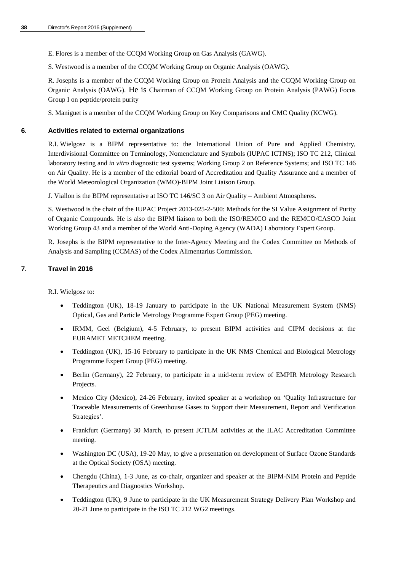- E. Flores is a member of the CCQM Working Group on Gas Analysis (GAWG).
- S. Westwood is a member of the CCQM Working Group on Organic Analysis (OAWG).

R. Josephs is a member of the CCQM Working Group on Protein Analysis and the CCQM Working Group on Organic Analysis (OAWG). He is Chairman of CCQM Working Group on Protein Analysis (PAWG) Focus Group I on peptide/protein purity

S. Maniguet is a member of the CCQM Working Group on Key Comparisons and CMC Quality (KCWG).

# **6. Activities related to external organizations**

R.I. Wielgosz is a BIPM representative to: the International Union of Pure and Applied Chemistry, Interdivisional Committee on Terminology, Nomenclature and Symbols (IUPAC ICTNS); ISO TC 212, Clinical laboratory testing and *in vitro* diagnostic test systems; Working Group 2 on Reference Systems; and ISO TC 146 on Air Quality. He is a member of the editorial board of Accreditation and Quality Assurance and a member of the World Meteorological Organization (WMO)-BIPM Joint Liaison Group.

J. Viallon is the BIPM representative at ISO TC 146/SC 3 on Air Quality – Ambient Atmospheres.

S. Westwood is the chair of the IUPAC Project 2013-025-2-500: Methods for the SI Value Assignment of Purity of Organic Compounds. He is also the BIPM liaison to both the ISO/REMCO and the REMCO/CASCO Joint Working Group 43 and a member of the World Anti-Doping Agency (WADA) Laboratory Expert Group.

R. Josephs is the BIPM representative to the Inter-Agency Meeting and the Codex Committee on Methods of Analysis and Sampling (CCMAS) of the Codex Alimentarius Commission.

# **7. Travel in 2016**

R.I. Wielgosz to:

- Teddington (UK), 18-19 January to participate in the UK National Measurement System (NMS) Optical, Gas and Particle Metrology Programme Expert Group (PEG) meeting.
- IRMM, Geel (Belgium), 4-5 February, to present BIPM activities and CIPM decisions at the EURAMET METCHEM meeting.
- Teddington (UK), 15-16 February to participate in the UK NMS Chemical and Biological Metrology Programme Expert Group (PEG) meeting.
- Berlin (Germany), 22 February, to participate in a mid-term review of EMPIR Metrology Research Projects.
- Mexico City (Mexico), 24-26 February, invited speaker at a workshop on 'Quality Infrastructure for Traceable Measurements of Greenhouse Gases to Support their Measurement, Report and Verification Strategies'.
- Frankfurt (Germany) 30 March, to present JCTLM activities at the ILAC Accreditation Committee meeting.
- Washington DC (USA), 19-20 May, to give a presentation on development of Surface Ozone Standards at the Optical Society (OSA) meeting.
- Chengdu (China), 1-3 June, as co-chair, organizer and speaker at the BIPM-NIM Protein and Peptide Therapeutics and Diagnostics Workshop.
- Teddington (UK), 9 June to participate in the UK Measurement Strategy Delivery Plan Workshop and 20-21 June to participate in the ISO TC 212 WG2 meetings.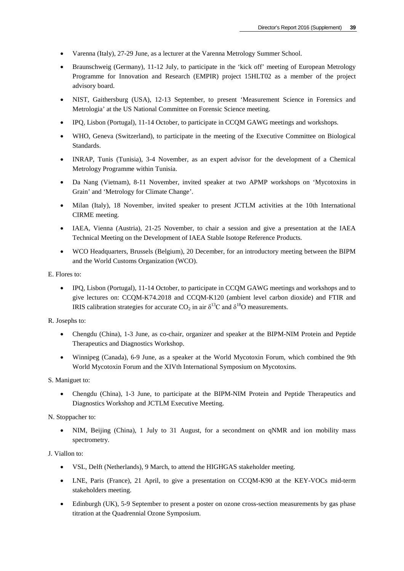- Varenna (Italy), 27-29 June, as a lecturer at the Varenna Metrology Summer School.
- Braunschweig (Germany), 11-12 July, to participate in the 'kick off' meeting of European Metrology Programme for Innovation and Research (EMPIR) project 15HLT02 as a member of the project advisory board.
- NIST, Gaithersburg (USA), 12-13 September, to present 'Measurement Science in Forensics and Metrologia' at the US National Committee on Forensic Science meeting.
- IPQ, Lisbon (Portugal), 11-14 October, to participate in CCQM GAWG meetings and workshops.
- WHO, Geneva (Switzerland), to participate in the meeting of the Executive Committee on Biological Standards.
- INRAP, Tunis (Tunisia), 3-4 November, as an expert advisor for the development of a Chemical Metrology Programme within Tunisia.
- Da Nang (Vietnam), 8-11 November, invited speaker at two APMP workshops on 'Mycotoxins in Grain' and 'Metrology for Climate Change'.
- Milan (Italy), 18 November, invited speaker to present JCTLM activities at the 10th International CIRME meeting.
- IAEA, Vienna (Austria), 21-25 November, to chair a session and give a presentation at the IAEA Technical Meeting on the Development of IAEA Stable Isotope Reference Products.
- WCO Headquarters, Brussels (Belgium), 20 December, for an introductory meeting between the BIPM and the World Customs Organization (WCO).

E. Flores to:

• IPQ, Lisbon (Portugal), 11-14 October, to participate in CCQM GAWG meetings and workshops and to give lectures on: CCQM-K74.2018 and CCQM-K120 (ambient level carbon dioxide) and FTIR and IRIS calibration strategies for accurate CO<sub>2</sub> in air  $\delta^{13}$ C and  $\delta^{18}$ O measurements.

R. Josephs to:

- Chengdu (China), 1-3 June, as co-chair, organizer and speaker at the BIPM-NIM Protein and Peptide Therapeutics and Diagnostics Workshop.
- Winnipeg (Canada), 6-9 June, as a speaker at the World Mycotoxin Forum, which combined the 9th World Mycotoxin Forum and the XIVth International Symposium on Mycotoxins.

S. Maniguet to:

• Chengdu (China), 1-3 June, to participate at the BIPM-NIM Protein and Peptide Therapeutics and Diagnostics Workshop and JCTLM Executive Meeting.

N. Stoppacher to:

• NIM, Beijing (China), 1 July to 31 August, for a secondment on qNMR and ion mobility mass spectrometry.

J. Viallon to:

- VSL, Delft (Netherlands), 9 March, to attend the HIGHGAS stakeholder meeting.
- LNE, Paris (France), 21 April, to give a presentation on CCQM-K90 at the KEY-VOCs mid-term stakeholders meeting.
- Edinburgh (UK), 5-9 September to present a poster on ozone cross-section measurements by gas phase titration at the Quadrennial Ozone Symposium.